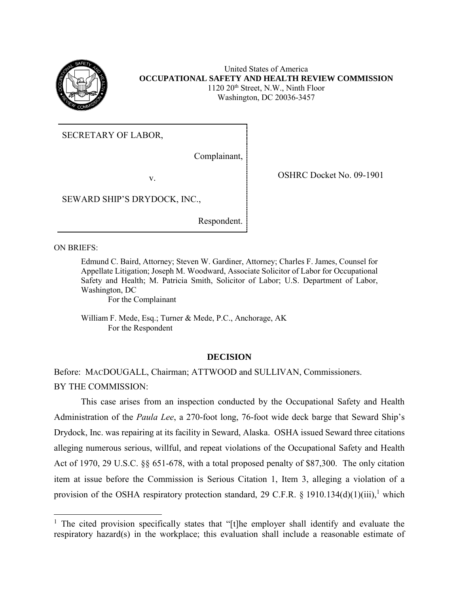

United States of America **OCCUPATIONAL SAFETY AND HEALTH REVIEW COMMISSION** 1120 20th Street, N.W., Ninth Floor Washington, DC 20036-3457

SECRETARY OF LABOR,

Complainant,

v. SHRC Docket No. 09-1901

SEWARD SHIP'S DRYDOCK, INC.,

Respondent.

ON BRIEFS:

 $\overline{a}$ 

Edmund C. Baird, Attorney; Steven W. Gardiner, Attorney; Charles F. James, Counsel for Appellate Litigation; Joseph M. Woodward, Associate Solicitor of Labor for Occupational Safety and Health; M. Patricia Smith, Solicitor of Labor; U.S. Department of Labor, Washington, DC

For the Complainant

William F. Mede, Esq.; Turner & Mede, P.C., Anchorage, AK For the Respondent

## **DECISION**

Before: MACDOUGALL, Chairman; ATTWOOD and SULLIVAN, Commissioners. BY THE COMMISSION:

This case arises from an inspection conducted by the Occupational Safety and Health Administration of the *Paula Lee*, a 270-foot long, 76-foot wide deck barge that Seward Ship's Drydock, Inc. was repairing at its facility in Seward, Alaska. OSHA issued Seward three citations alleging numerous serious, willful, and repeat violations of the Occupational Safety and Health Act of 1970, 29 U.S.C. §§ 651-678, with a total proposed penalty of \$87,300. The only citation item at issue before the Commission is Serious Citation 1, Item 3, alleging a violation of a provision of the OSHA respiratory protection standard, 29 C.F.R. § 1910.134(d)(1)(iii),<sup>1</sup> which

<sup>&</sup>lt;sup>1</sup> The cited provision specifically states that "[t]he employer shall identify and evaluate the respiratory hazard(s) in the workplace; this evaluation shall include a reasonable estimate of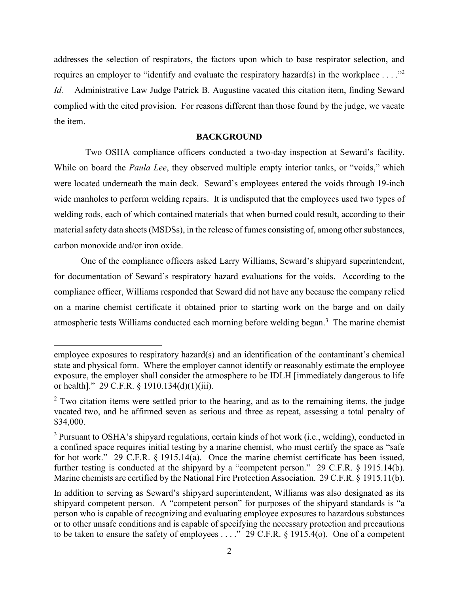addresses the selection of respirators, the factors upon which to base respirator selection, and requires an employer to "identify and evaluate the respiratory hazard(s) in the workplace ... ."<sup>2</sup> *Id.* Administrative Law Judge Patrick B. Augustine vacated this citation item, finding Seward complied with the cited provision. For reasons different than those found by the judge, we vacate the item.

#### **BACKGROUND**

 Two OSHA compliance officers conducted a two-day inspection at Seward's facility. While on board the *Paula Lee*, they observed multiple empty interior tanks, or "voids," which were located underneath the main deck. Seward's employees entered the voids through 19-inch wide manholes to perform welding repairs. It is undisputed that the employees used two types of welding rods, each of which contained materials that when burned could result, according to their material safety data sheets (MSDSs), in the release of fumes consisting of, among other substances, carbon monoxide and/or iron oxide.

One of the compliance officers asked Larry Williams, Seward's shipyard superintendent, for documentation of Seward's respiratory hazard evaluations for the voids. According to the compliance officer, Williams responded that Seward did not have any because the company relied on a marine chemist certificate it obtained prior to starting work on the barge and on daily atmospheric tests Williams conducted each morning before welding began. 3 The marine chemist

 $\overline{\phantom{a}}$ 

employee exposures to respiratory hazard(s) and an identification of the contaminant's chemical state and physical form. Where the employer cannot identify or reasonably estimate the employee exposure, the employer shall consider the atmosphere to be IDLH [immediately dangerous to life or health]." 29 C.F.R. § 1910.134(d)(1)(iii).

 $2$  Two citation items were settled prior to the hearing, and as to the remaining items, the judge vacated two, and he affirmed seven as serious and three as repeat, assessing a total penalty of \$34,000.

<sup>&</sup>lt;sup>3</sup> Pursuant to OSHA's shipyard regulations, certain kinds of hot work (i.e., welding), conducted in a confined space requires initial testing by a marine chemist, who must certify the space as "safe for hot work." 29 C.F.R. § 1915.14(a). Once the marine chemist certificate has been issued, further testing is conducted at the shipyard by a "competent person." 29 C.F.R. § 1915.14(b). Marine chemists are certified by the National Fire Protection Association. 29 C.F.R. § 1915.11(b).

In addition to serving as Seward's shipyard superintendent, Williams was also designated as its shipyard competent person. A "competent person" for purposes of the shipyard standards is "a person who is capable of recognizing and evaluating employee exposures to hazardous substances or to other unsafe conditions and is capable of specifying the necessary protection and precautions to be taken to ensure the safety of employees . . . ." 29 C.F.R. § 1915.4(o). One of a competent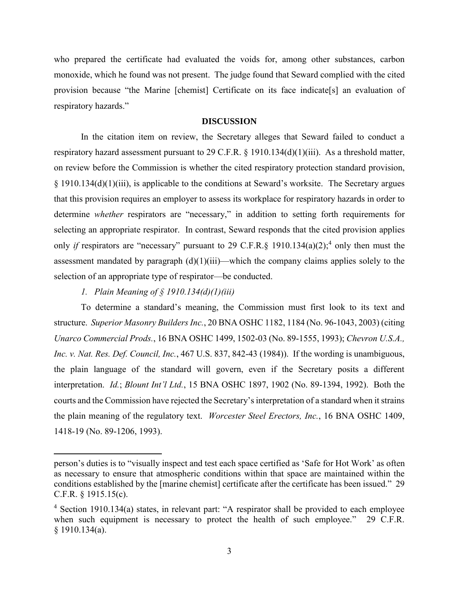who prepared the certificate had evaluated the voids for, among other substances, carbon monoxide, which he found was not present. The judge found that Seward complied with the cited provision because "the Marine [chemist] Certificate on its face indicate[s] an evaluation of respiratory hazards."

### **DISCUSSION**

In the citation item on review, the Secretary alleges that Seward failed to conduct a respiratory hazard assessment pursuant to 29 C.F.R. § 1910.134(d)(1)(iii). As a threshold matter, on review before the Commission is whether the cited respiratory protection standard provision,  $§$  1910.134(d)(1)(iii), is applicable to the conditions at Seward's worksite. The Secretary argues that this provision requires an employer to assess its workplace for respiratory hazards in order to determine *whether* respirators are "necessary," in addition to setting forth requirements for selecting an appropriate respirator. In contrast, Seward responds that the cited provision applies only *if* respirators are "necessary" pursuant to 29 C.F.R.§ 1910.134(a)(2);<sup>4</sup> only then must the assessment mandated by paragraph  $(d)(1)(iii)$ —which the company claims applies solely to the selection of an appropriate type of respirator—be conducted.

*1. Plain Meaning of § 1910.134(d)(1)(iii)*

 $\overline{a}$ 

To determine a standard's meaning, the Commission must first look to its text and structure. *Superior Masonry Builders Inc.*, 20 BNA OSHC 1182, 1184 (No. 96-1043, 2003) (citing *Unarco Commercial Prods.*, 16 BNA OSHC 1499, 1502-03 (No. 89-1555, 1993); *Chevron U.S.A., Inc. v. Nat. Res. Def. Council, Inc.*, 467 U.S. 837, 842-43 (1984)). If the wording is unambiguous, the plain language of the standard will govern, even if the Secretary posits a different interpretation. *Id.*; *Blount Int'l Ltd.*, 15 BNA OSHC 1897, 1902 (No. 89-1394, 1992). Both the courts and the Commission have rejected the Secretary's interpretation of a standard when it strains the plain meaning of the regulatory text. *Worcester Steel Erectors, Inc.*, 16 BNA OSHC 1409, 1418-19 (No. 89-1206, 1993).

person's duties is to "visually inspect and test each space certified as 'Safe for Hot Work' as often as necessary to ensure that atmospheric conditions within that space are maintained within the conditions established by the [marine chemist] certificate after the certificate has been issued." 29 C.F.R. § 1915.15(c).

<sup>&</sup>lt;sup>4</sup> Section 1910.134(a) states, in relevant part: "A respirator shall be provided to each employee when such equipment is necessary to protect the health of such employee." 29 C.F.R. § 1910.134(a).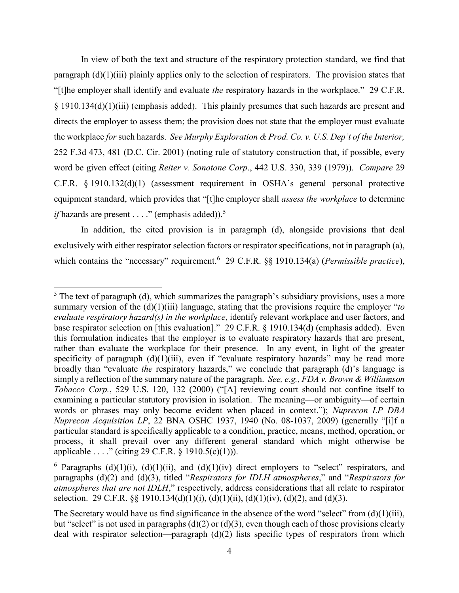In view of both the text and structure of the respiratory protection standard, we find that paragraph (d)(1)(iii) plainly applies only to the selection of respirators. The provision states that "[t]he employer shall identify and evaluate *the* respiratory hazards in the workplace." 29 C.F.R. § 1910.134(d)(1)(iii) (emphasis added). This plainly presumes that such hazards are present and directs the employer to assess them; the provision does not state that the employer must evaluate the workplace *for* such hazards. *See Murphy Exploration & Prod. Co. v. U.S. Dep't of the Interior,*  252 F.3d 473, 481 (D.C. Cir. 2001) (noting rule of statutory construction that, if possible, every word be given effect (citing *Reiter v. Sonotone Corp*., 442 U.S. 330, 339 (1979)). *Compare* 29 C.F.R. § 1910.132(d)(1) (assessment requirement in OSHA's general personal protective equipment standard, which provides that "[t]he employer shall *assess the workplace* to determine *if* hazards are present  $\ldots$  ." (emphasis added)).<sup>5</sup>

In addition, the cited provision is in paragraph (d), alongside provisions that deal exclusively with either respirator selection factors or respirator specifications, not in paragraph (a), which contains the "necessary" requirement. 6 29 C.F.R. §§ 1910.134(a) (*Permissible practice*),

l

 $<sup>5</sup>$  The text of paragraph (d), which summarizes the paragraph's subsidiary provisions, uses a more</sup> summary version of the (d)(1)(iii) language, stating that the provisions require the employer "*to evaluate respiratory hazard(s) in the workplace*, identify relevant workplace and user factors, and base respirator selection on [this evaluation]." 29 C.F.R. § 1910.134(d) (emphasis added). Even this formulation indicates that the employer is to evaluate respiratory hazards that are present, rather than evaluate the workplace for their presence. In any event, in light of the greater specificity of paragraph  $(d)(1)(iii)$ , even if "evaluate respiratory hazards" may be read more broadly than "evaluate *the* respiratory hazards," we conclude that paragraph (d)'s language is simply a reflection of the summary nature of the paragraph. *See, e.g., FDA v. Brown & Williamson Tobacco Corp.*, 529 U.S. 120, 132 (2000) ("[A] reviewing court should not confine itself to examining a particular statutory provision in isolation. The meaning—or ambiguity—of certain words or phrases may only become evident when placed in context."); *Nuprecon LP DBA Nuprecon Acquisition LP*, 22 BNA OSHC 1937, 1940 (No. 08-1037, 2009) (generally "[i]f a particular standard is specifically applicable to a condition, practice, means, method, operation, or process, it shall prevail over any different general standard which might otherwise be applicable . . . ." (citing 29 C.F.R. § 1910.5(c)(1))).

<sup>&</sup>lt;sup>6</sup> Paragraphs (d)(1)(i), (d)(1)(ii), and (d)(1)(iv) direct employers to "select" respirators, and paragraphs (d)(2) and (d)(3), titled "*Respirators for IDLH atmospheres*," and "*Respirators for atmospheres that are not IDLH*," respectively, address considerations that all relate to respirator selection. 29 C.F.R.  $\S$  1910.134(d)(1)(i), (d)(1)(ii), (d)(1)(iv), (d)(2), and (d)(3).

The Secretary would have us find significance in the absence of the word "select" from (d)(1)(iii), but "select" is not used in paragraphs (d)(2) or (d)(3), even though each of those provisions clearly deal with respirator selection—paragraph (d)(2) lists specific types of respirators from which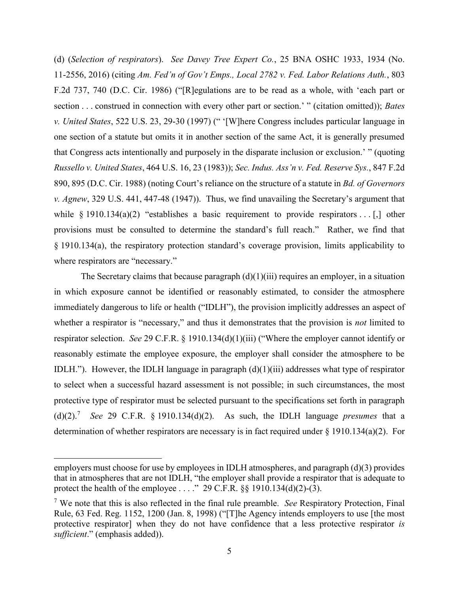(d) (*Selection of respirators*). *See Davey Tree Expert Co.*, 25 BNA OSHC 1933, 1934 (No. 11-2556, 2016) (citing *Am. Fed'n of Gov't Emps., Local 2782 v. Fed. Labor Relations Auth.*, 803 F.2d 737, 740 (D.C. Cir. 1986) ("[R]egulations are to be read as a whole, with 'each part or section . . . construed in connection with every other part or section.' " (citation omitted)); *Bates v. United States*, 522 U.S. 23, 29-30 (1997) (" '[W]here Congress includes particular language in one section of a statute but omits it in another section of the same Act, it is generally presumed that Congress acts intentionally and purposely in the disparate inclusion or exclusion.' " (quoting *Russello v. United States*, 464 U.S. 16, 23 (1983)); *Sec. Indus. Ass'n v. Fed. Reserve Sys.*, 847 F.2d 890, 895 (D.C. Cir. 1988) (noting Court's reliance on the structure of a statute in *Bd. of Governors v. Agnew*, 329 U.S. 441, 447-48 (1947)). Thus, we find unavailing the Secretary's argument that while  $\S$  1910.134(a)(2) "establishes a basic requirement to provide respirators . . [,] other provisions must be consulted to determine the standard's full reach." Rather, we find that § 1910.134(a), the respiratory protection standard's coverage provision, limits applicability to where respirators are "necessary."

The Secretary claims that because paragraph  $(d)(1)(iii)$  requires an employer, in a situation in which exposure cannot be identified or reasonably estimated, to consider the atmosphere immediately dangerous to life or health ("IDLH"), the provision implicitly addresses an aspect of whether a respirator is "necessary," and thus it demonstrates that the provision is *not* limited to respirator selection. *See* 29 C.F.R. § 1910.134(d)(1)(iii) ("Where the employer cannot identify or reasonably estimate the employee exposure, the employer shall consider the atmosphere to be IDLH."). However, the IDLH language in paragraph  $(d)(1)(iii)$  addresses what type of respirator to select when a successful hazard assessment is not possible; in such circumstances, the most protective type of respirator must be selected pursuant to the specifications set forth in paragraph (d) $(2)$ .<sup>7</sup> *See* 29 C.F.R. § 1910.134(d) $(2)$ . As such, the IDLH language *presumes* that a determination of whether respirators are necessary is in fact required under  $\S 1910.134(a)(2)$ . For

employers must choose for use by employees in IDLH atmospheres, and paragraph (d)(3) provides that in atmospheres that are not IDLH, "the employer shall provide a respirator that is adequate to protect the health of the employee . . . ." 29 C.F.R. §§ 1910.134(d)(2)-(3).

<sup>7</sup> We note that this is also reflected in the final rule preamble. *See* Respiratory Protection, Final Rule, 63 Fed. Reg. 1152, 1200 (Jan. 8, 1998) ("[T]he Agency intends employers to use [the most protective respirator] when they do not have confidence that a less protective respirator *is sufficient*." (emphasis added)).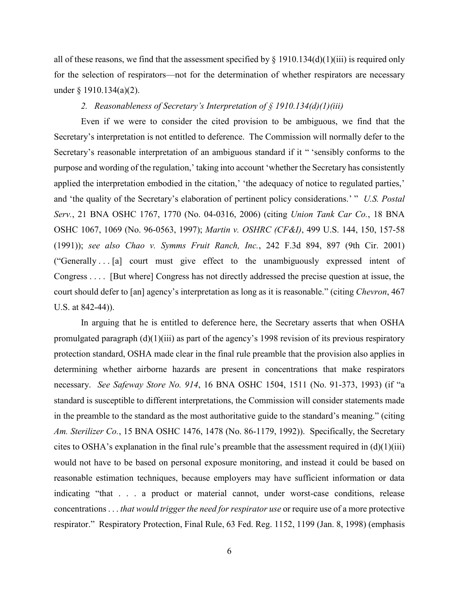all of these reasons, we find that the assessment specified by  $\S$  1910.134(d)(1)(iii) is required only for the selection of respirators—not for the determination of whether respirators are necessary under § 1910.134(a)(2).

### *2. Reasonableness of Secretary's Interpretation of § 1910.134(d)(1)(iii)*

Even if we were to consider the cited provision to be ambiguous, we find that the Secretary's interpretation is not entitled to deference. The Commission will normally defer to the Secretary's reasonable interpretation of an ambiguous standard if it " 'sensibly conforms to the purpose and wording of the regulation,' taking into account 'whether the Secretary has consistently applied the interpretation embodied in the citation,' 'the adequacy of notice to regulated parties,' and 'the quality of the Secretary's elaboration of pertinent policy considerations.' " *U.S. Postal Serv.*, 21 BNA OSHC 1767, 1770 (No. 04-0316, 2006) (citing *Union Tank Car Co.*, 18 BNA OSHC 1067, 1069 (No. 96-0563, 1997); *Martin v. OSHRC (CF&I)*, 499 U.S. 144, 150, 157-58 (1991)); *see also Chao v. Symms Fruit Ranch, Inc.*, 242 F.3d 894, 897 (9th Cir. 2001) ("Generally . . . [a] court must give effect to the unambiguously expressed intent of Congress . . . . [But where] Congress has not directly addressed the precise question at issue, the court should defer to [an] agency's interpretation as long as it is reasonable." (citing *Chevron*, 467 U.S. at 842-44)).

In arguing that he is entitled to deference here, the Secretary asserts that when OSHA promulgated paragraph (d)(1)(iii) as part of the agency's 1998 revision of its previous respiratory protection standard, OSHA made clear in the final rule preamble that the provision also applies in determining whether airborne hazards are present in concentrations that make respirators necessary. *See Safeway Store No. 914*, 16 BNA OSHC 1504, 1511 (No. 91-373, 1993) (if "a standard is susceptible to different interpretations, the Commission will consider statements made in the preamble to the standard as the most authoritative guide to the standard's meaning." (citing *Am. Sterilizer Co.*, 15 BNA OSHC 1476, 1478 (No. 86-1179, 1992)). Specifically, the Secretary cites to OSHA's explanation in the final rule's preamble that the assessment required in  $(d)(1)(iii)$ would not have to be based on personal exposure monitoring, and instead it could be based on reasonable estimation techniques, because employers may have sufficient information or data indicating "that . . . a product or material cannot, under worst-case conditions, release concentrations . . . *that would trigger the need for respirator use* or require use of a more protective respirator." Respiratory Protection, Final Rule, 63 Fed. Reg. 1152, 1199 (Jan. 8, 1998) (emphasis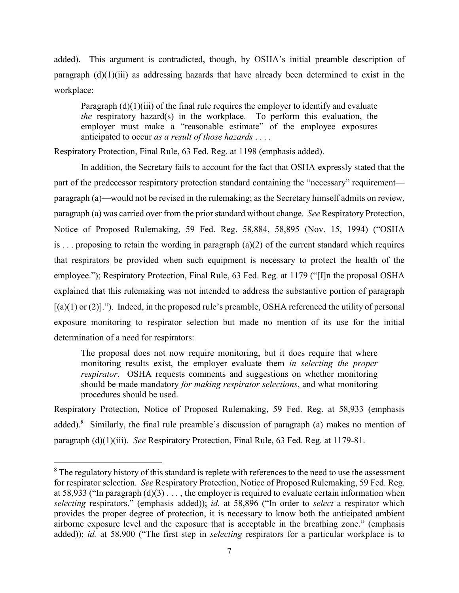added). This argument is contradicted, though, by OSHA's initial preamble description of paragraph  $(d)(1)(iii)$  as addressing hazards that have already been determined to exist in the workplace:

Paragraph (d)(1)(iii) of the final rule requires the employer to identify and evaluate *the* respiratory hazard(s) in the workplace. To perform this evaluation, the employer must make a "reasonable estimate" of the employee exposures anticipated to occur *as a result of those hazards* . . . .

Respiratory Protection, Final Rule, 63 Fed. Reg. at 1198 (emphasis added).

In addition, the Secretary fails to account for the fact that OSHA expressly stated that the part of the predecessor respiratory protection standard containing the "necessary" requirement paragraph (a)—would not be revised in the rulemaking; as the Secretary himself admits on review, paragraph (a) was carried over from the prior standard without change. *See* Respiratory Protection, Notice of Proposed Rulemaking, 59 Fed. Reg. 58,884, 58,895 (Nov. 15, 1994) ("OSHA is ... proposing to retain the wording in paragraph (a)(2) of the current standard which requires that respirators be provided when such equipment is necessary to protect the health of the employee."); Respiratory Protection, Final Rule, 63 Fed. Reg. at 1179 ("[I]n the proposal OSHA explained that this rulemaking was not intended to address the substantive portion of paragraph  $[(a)(1)$  or  $(2)$ ]."). Indeed, in the proposed rule's preamble, OSHA referenced the utility of personal exposure monitoring to respirator selection but made no mention of its use for the initial determination of a need for respirators:

The proposal does not now require monitoring, but it does require that where monitoring results exist, the employer evaluate them *in selecting the proper respirator*. OSHA requests comments and suggestions on whether monitoring should be made mandatory *for making respirator selections*, and what monitoring procedures should be used.

Respiratory Protection, Notice of Proposed Rulemaking, 59 Fed. Reg. at 58,933 (emphasis added).<sup>8</sup> Similarly, the final rule preamble's discussion of paragraph (a) makes no mention of paragraph (d)(1)(iii). *See* Respiratory Protection, Final Rule, 63 Fed. Reg. at 1179-81.

<sup>&</sup>lt;sup>8</sup> The regulatory history of this standard is replete with references to the need to use the assessment for respirator selection. *See* Respiratory Protection, Notice of Proposed Rulemaking, 59 Fed. Reg. at 58,933 ("In paragraph  $(d)(3)$ ..., the employer is required to evaluate certain information when *selecting* respirators." (emphasis added)); *id.* at 58,896 ("In order to *select* a respirator which provides the proper degree of protection, it is necessary to know both the anticipated ambient airborne exposure level and the exposure that is acceptable in the breathing zone." (emphasis added)); *id.* at 58,900 ("The first step in *selecting* respirators for a particular workplace is to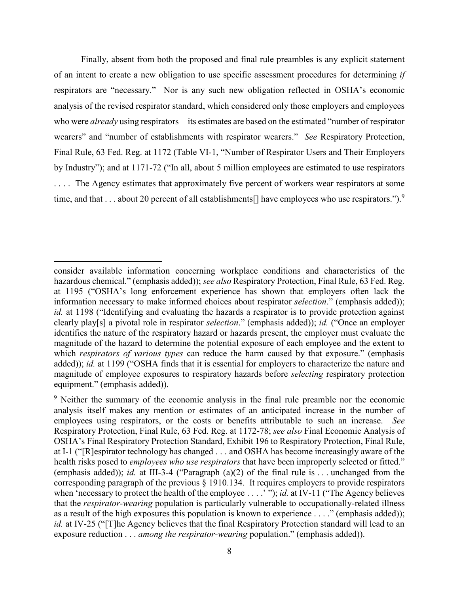Finally, absent from both the proposed and final rule preambles is any explicit statement of an intent to create a new obligation to use specific assessment procedures for determining *if* respirators are "necessary." Nor is any such new obligation reflected in OSHA's economic analysis of the revised respirator standard, which considered only those employers and employees who were *already* using respirators—its estimates are based on the estimated "number of respirator wearers" and "number of establishments with respirator wearers." *See* Respiratory Protection, Final Rule, 63 Fed. Reg. at 1172 (Table VI-1, "Number of Respirator Users and Their Employers by Industry"); and at 1171-72 ("In all, about 5 million employees are estimated to use respirators . . . . The Agency estimates that approximately five percent of workers wear respirators at some time, and that . . . about 20 percent of all establishments<sup>[]</sup> have employees who use respirators.").<sup>9</sup>

 $\overline{\phantom{a}}$ 

consider available information concerning workplace conditions and characteristics of the hazardous chemical." (emphasis added)); *see also* Respiratory Protection, Final Rule, 63 Fed. Reg. at 1195 ("OSHA's long enforcement experience has shown that employers often lack the information necessary to make informed choices about respirator *selection*." (emphasis added)); *id.* at 1198 ("Identifying and evaluating the hazards a respirator is to provide protection against clearly play[s] a pivotal role in respirator *selection*." (emphasis added)); *id.* ("Once an employer identifies the nature of the respiratory hazard or hazards present, the employer must evaluate the magnitude of the hazard to determine the potential exposure of each employee and the extent to which *respirators of various types* can reduce the harm caused by that exposure." (emphasis added)); *id.* at 1199 ("OSHA finds that it is essential for employers to characterize the nature and magnitude of employee exposures to respiratory hazards before *selecting* respiratory protection equipment." (emphasis added)).

<sup>&</sup>lt;sup>9</sup> Neither the summary of the economic analysis in the final rule preamble nor the economic analysis itself makes any mention or estimates of an anticipated increase in the number of employees using respirators, or the costs or benefits attributable to such an increase. *See*  Respiratory Protection, Final Rule, 63 Fed. Reg. at 1172-78; *see also* Final Economic Analysis of OSHA's Final Respiratory Protection Standard, Exhibit 196 to Respiratory Protection, Final Rule, at I-1 ("[R]espirator technology has changed . . . and OSHA has become increasingly aware of the health risks posed to *employees who use respirators* that have been improperly selected or fitted." (emphasis added)); *id.* at III-3-4 ("Paragraph (a)(2) of the final rule is . . . unchanged from the corresponding paragraph of the previous § 1910.134. It requires employers to provide respirators when 'necessary to protect the health of the employee . . . . '"); *id.* at IV-11 ("The Agency believes that the *respirator-wearing* population is particularly vulnerable to occupationally-related illness as a result of the high exposures this population is known to experience . . . ." (emphasis added)); *id.* at IV-25 ("[T]he Agency believes that the final Respiratory Protection standard will lead to an exposure reduction . . . *among the respirator-wearing* population." (emphasis added)).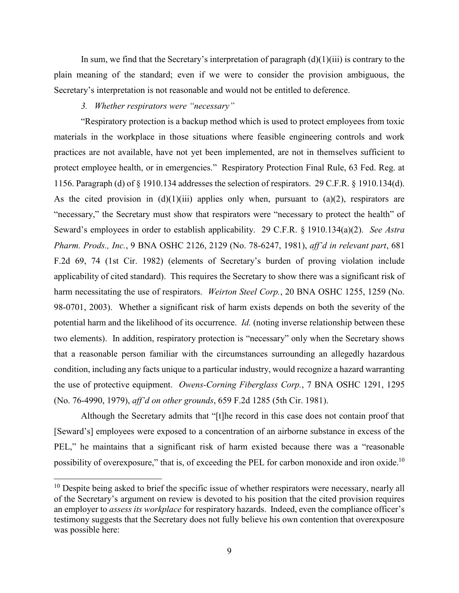In sum, we find that the Secretary's interpretation of paragraph  $(d)(1)(iii)$  is contrary to the plain meaning of the standard; even if we were to consider the provision ambiguous, the Secretary's interpretation is not reasonable and would not be entitled to deference.

## *3. Whether respirators were "necessary"*

 $\overline{\phantom{a}}$ 

"Respiratory protection is a backup method which is used to protect employees from toxic materials in the workplace in those situations where feasible engineering controls and work practices are not available, have not yet been implemented, are not in themselves sufficient to protect employee health, or in emergencies." Respiratory Protection Final Rule, 63 Fed. Reg. at 1156. Paragraph (d) of § 1910.134 addresses the selection of respirators. 29 C.F.R. § 1910.134(d). As the cited provision in  $(d)(1)(iii)$  applies only when, pursuant to  $(a)(2)$ , respirators are "necessary," the Secretary must show that respirators were "necessary to protect the health" of Seward's employees in order to establish applicability. 29 C.F.R. § 1910.134(a)(2). *See Astra Pharm. Prods., Inc.*, 9 BNA OSHC 2126, 2129 (No. 78-6247, 1981), *aff'd in relevant part*, 681 F.2d 69, 74 (1st Cir. 1982) (elements of Secretary's burden of proving violation include applicability of cited standard). This requires the Secretary to show there was a significant risk of harm necessitating the use of respirators. *Weirton Steel Corp.*, 20 BNA OSHC 1255, 1259 (No. 98-0701, 2003). Whether a significant risk of harm exists depends on both the severity of the potential harm and the likelihood of its occurrence. *Id.* (noting inverse relationship between these two elements). In addition, respiratory protection is "necessary" only when the Secretary shows that a reasonable person familiar with the circumstances surrounding an allegedly hazardous condition, including any facts unique to a particular industry, would recognize a hazard warranting the use of protective equipment. *Owens-Corning Fiberglass Corp.*, 7 BNA OSHC 1291, 1295 (No. 76-4990, 1979), *aff'd on other grounds*, 659 F.2d 1285 (5th Cir. 1981).

Although the Secretary admits that "[t]he record in this case does not contain proof that [Seward's] employees were exposed to a concentration of an airborne substance in excess of the PEL," he maintains that a significant risk of harm existed because there was a "reasonable possibility of overexposure," that is, of exceeding the PEL for carbon monoxide and iron oxide.<sup>10</sup>

 $10$  Despite being asked to brief the specific issue of whether respirators were necessary, nearly all of the Secretary's argument on review is devoted to his position that the cited provision requires an employer to *assess its workplace* for respiratory hazards. Indeed, even the compliance officer's testimony suggests that the Secretary does not fully believe his own contention that overexposure was possible here: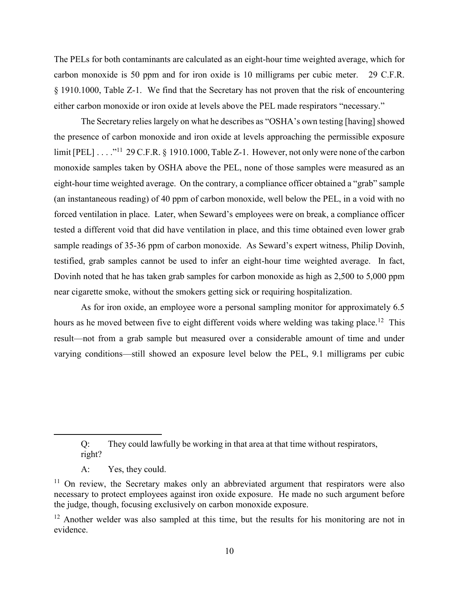The PELs for both contaminants are calculated as an eight-hour time weighted average, which for carbon monoxide is 50 ppm and for iron oxide is 10 milligrams per cubic meter. 29 C.F.R. § 1910.1000, Table Z-1. We find that the Secretary has not proven that the risk of encountering either carbon monoxide or iron oxide at levels above the PEL made respirators "necessary."

The Secretary relies largely on what he describes as "OSHA's own testing [having] showed the presence of carbon monoxide and iron oxide at levels approaching the permissible exposure limit [PEL] . . . ."<sup>11</sup> 29 C.F.R. § 1910.1000, Table Z-1. However, not only were none of the carbon monoxide samples taken by OSHA above the PEL, none of those samples were measured as an eight-hour time weighted average. On the contrary, a compliance officer obtained a "grab" sample (an instantaneous reading) of 40 ppm of carbon monoxide, well below the PEL, in a void with no forced ventilation in place. Later, when Seward's employees were on break, a compliance officer tested a different void that did have ventilation in place, and this time obtained even lower grab sample readings of 35-36 ppm of carbon monoxide. As Seward's expert witness, Philip Dovinh, testified, grab samples cannot be used to infer an eight-hour time weighted average. In fact, Dovinh noted that he has taken grab samples for carbon monoxide as high as 2,500 to 5,000 ppm near cigarette smoke, without the smokers getting sick or requiring hospitalization.

As for iron oxide, an employee wore a personal sampling monitor for approximately 6.5 hours as he moved between five to eight different voids where welding was taking place.<sup>12</sup> This result—not from a grab sample but measured over a considerable amount of time and under varying conditions—still showed an exposure level below the PEL, 9.1 milligrams per cubic

A: Yes, they could.

Q: They could lawfully be working in that area at that time without respirators, right?

 $11$  On review, the Secretary makes only an abbreviated argument that respirators were also necessary to protect employees against iron oxide exposure. He made no such argument before the judge, though, focusing exclusively on carbon monoxide exposure.

<sup>&</sup>lt;sup>12</sup> Another welder was also sampled at this time, but the results for his monitoring are not in evidence.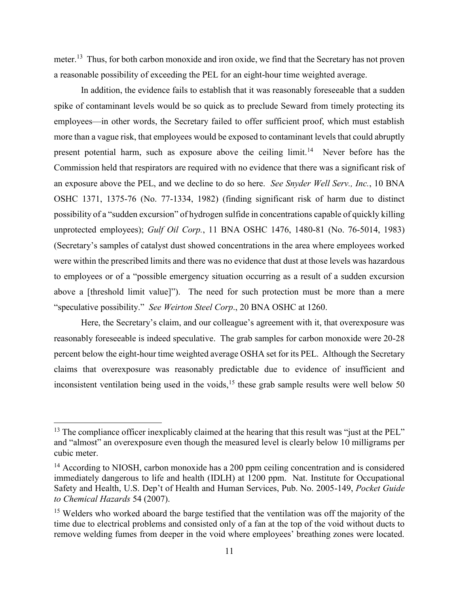meter.<sup>13</sup> Thus, for both carbon monoxide and iron oxide, we find that the Secretary has not proven a reasonable possibility of exceeding the PEL for an eight-hour time weighted average.

In addition, the evidence fails to establish that it was reasonably foreseeable that a sudden spike of contaminant levels would be so quick as to preclude Seward from timely protecting its employees—in other words, the Secretary failed to offer sufficient proof, which must establish more than a vague risk, that employees would be exposed to contaminant levels that could abruptly present potential harm, such as exposure above the ceiling limit.<sup>14</sup> Never before has the Commission held that respirators are required with no evidence that there was a significant risk of an exposure above the PEL, and we decline to do so here. *See Snyder Well Serv., Inc.*, 10 BNA OSHC 1371, 1375-76 (No. 77-1334, 1982) (finding significant risk of harm due to distinct possibility of a "sudden excursion" of hydrogen sulfide in concentrations capable of quickly killing unprotected employees); *Gulf Oil Corp.*, 11 BNA OSHC 1476, 1480-81 (No. 76-5014, 1983) (Secretary's samples of catalyst dust showed concentrations in the area where employees worked were within the prescribed limits and there was no evidence that dust at those levels was hazardous to employees or of a "possible emergency situation occurring as a result of a sudden excursion above a [threshold limit value]"). The need for such protection must be more than a mere "speculative possibility." *See Weirton Steel Corp*., 20 BNA OSHC at 1260.

Here, the Secretary's claim, and our colleague's agreement with it, that overexposure was reasonably foreseeable is indeed speculative. The grab samples for carbon monoxide were 20-28 percent below the eight-hour time weighted average OSHA set for its PEL. Although the Secretary claims that overexposure was reasonably predictable due to evidence of insufficient and inconsistent ventilation being used in the voids,<sup>15</sup> these grab sample results were well below 50

 $\overline{\phantom{a}}$ 

 $13$  The compliance officer inexplicably claimed at the hearing that this result was "just at the PEL" and "almost" an overexposure even though the measured level is clearly below 10 milligrams per cubic meter.

<sup>&</sup>lt;sup>14</sup> According to NIOSH, carbon monoxide has a 200 ppm ceiling concentration and is considered immediately dangerous to life and health (IDLH) at 1200 ppm. Nat. Institute for Occupational Safety and Health, U.S. Dep't of Health and Human Services, Pub. No. 2005-149, *Pocket Guide to Chemical Hazards* 54 (2007).

<sup>&</sup>lt;sup>15</sup> Welders who worked aboard the barge testified that the ventilation was off the majority of the time due to electrical problems and consisted only of a fan at the top of the void without ducts to remove welding fumes from deeper in the void where employees' breathing zones were located.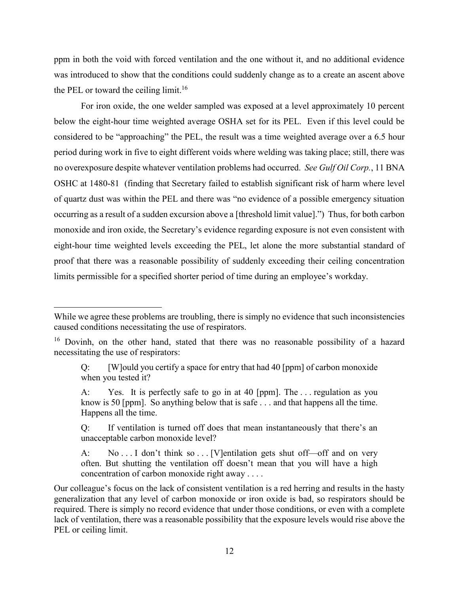ppm in both the void with forced ventilation and the one without it, and no additional evidence was introduced to show that the conditions could suddenly change as to a create an ascent above the PEL or toward the ceiling limit.<sup>16</sup>

For iron oxide, the one welder sampled was exposed at a level approximately 10 percent below the eight-hour time weighted average OSHA set for its PEL. Even if this level could be considered to be "approaching" the PEL, the result was a time weighted average over a 6.5 hour period during work in five to eight different voids where welding was taking place; still, there was no overexposure despite whatever ventilation problems had occurred. *See Gulf Oil Corp.*, 11 BNA OSHC at 1480-81 (finding that Secretary failed to establish significant risk of harm where level of quartz dust was within the PEL and there was "no evidence of a possible emergency situation occurring as a result of a sudden excursion above a [threshold limit value].") Thus, for both carbon monoxide and iron oxide, the Secretary's evidence regarding exposure is not even consistent with eight-hour time weighted levels exceeding the PEL, let alone the more substantial standard of proof that there was a reasonable possibility of suddenly exceeding their ceiling concentration limits permissible for a specified shorter period of time during an employee's workday.

l

A: Yes. It is perfectly safe to go in at 40 [ppm]. The . . . regulation as you know is 50 [ppm]. So anything below that is safe . . . and that happens all the time. Happens all the time.

Q: If ventilation is turned off does that mean instantaneously that there's an unacceptable carbon monoxide level?

While we agree these problems are troubling, there is simply no evidence that such inconsistencies caused conditions necessitating the use of respirators.

<sup>&</sup>lt;sup>16</sup> Dovinh, on the other hand, stated that there was no reasonable possibility of a hazard necessitating the use of respirators:

Q: [W]ould you certify a space for entry that had 40  $\lceil p \text{pm} \rceil$  of carbon monoxide when you tested it?

A: No... I don't think so... [V]entilation gets shut off—off and on very often. But shutting the ventilation off doesn't mean that you will have a high concentration of carbon monoxide right away . . . .

Our colleague's focus on the lack of consistent ventilation is a red herring and results in the hasty generalization that any level of carbon monoxide or iron oxide is bad, so respirators should be required. There is simply no record evidence that under those conditions, or even with a complete lack of ventilation, there was a reasonable possibility that the exposure levels would rise above the PEL or ceiling limit.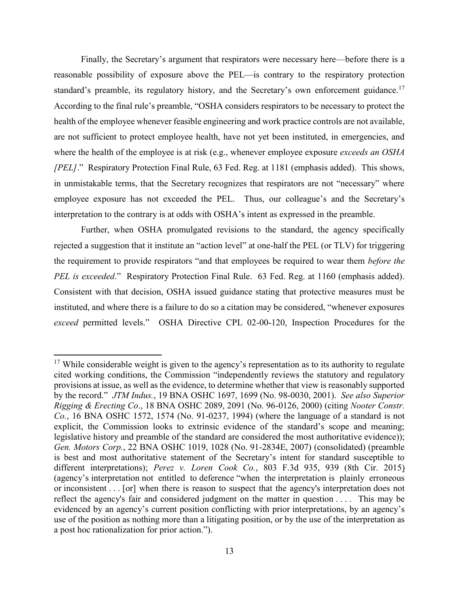Finally, the Secretary's argument that respirators were necessary here—before there is a reasonable possibility of exposure above the PEL—is contrary to the respiratory protection standard's preamble, its regulatory history, and the Secretary's own enforcement guidance.<sup>17</sup> According to the final rule's preamble, "OSHA considers respirators to be necessary to protect the health of the employee whenever feasible engineering and work practice controls are not available, are not sufficient to protect employee health, have not yet been instituted, in emergencies, and where the health of the employee is at risk (e.g., whenever employee exposure *exceeds an OSHA [PEL]*." Respiratory Protection Final Rule, 63 Fed. Reg. at 1181 (emphasis added). This shows, in unmistakable terms, that the Secretary recognizes that respirators are not "necessary" where employee exposure has not exceeded the PEL. Thus, our colleague's and the Secretary's interpretation to the contrary is at odds with OSHA's intent as expressed in the preamble.

Further, when OSHA promulgated revisions to the standard, the agency specifically rejected a suggestion that it institute an "action level" at one-half the PEL (or TLV) for triggering the requirement to provide respirators "and that employees be required to wear them *before the PEL is exceeded*." Respiratory Protection Final Rule. 63 Fed. Reg. at 1160 (emphasis added). Consistent with that decision, OSHA issued guidance stating that protective measures must be instituted, and where there is a failure to do so a citation may be considered, "whenever exposures *exceed* permitted levels." OSHA Directive CPL 02-00-120, Inspection Procedures for the

 $\overline{\phantom{a}}$ 

<sup>&</sup>lt;sup>17</sup> While considerable weight is given to the agency's representation as to its authority to regulate cited working conditions, the Commission "independently reviews the statutory and regulatory provisions at issue, as well as the evidence, to determine whether that view is reasonably supported by the record." *JTM Indus.*, 19 BNA OSHC 1697, 1699 (No. 98-0030, 2001). *See also Superior Rigging & Erecting Co*., 18 BNA OSHC 2089, 2091 (No. 96-0126, 2000) (citing *Nooter Constr. Co.*, 16 BNA OSHC 1572, 1574 (No. 91-0237, 1994) (where the language of a standard is not explicit, the Commission looks to extrinsic evidence of the standard's scope and meaning; legislative history and preamble of the standard are considered the most authoritative evidence)); *Gen. Motors Corp.*, 22 BNA OSHC 1019, 1028 (No. 91-2834E, 2007) (consolidated) (preamble is best and most authoritative statement of the Secretary's intent for standard susceptible to different interpretations); *Perez v. Loren Cook Co.*, 803 F.3d 935, 939 (8th Cir. 2015) (agency's interpretation not entitled to deference "when the interpretation is plainly erroneous or inconsistent . . . [or] when there is reason to suspect that the agency's interpretation does not reflect the agency's fair and considered judgment on the matter in question . . . . This may be evidenced by an agency's current position conflicting with prior interpretations, by an agency's use of the position as nothing more than a litigating position, or by the use of the interpretation as a post hoc rationalization for prior action.").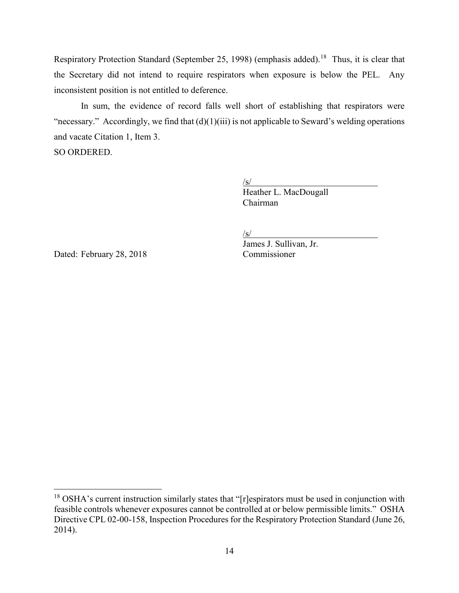Respiratory Protection Standard (September 25, 1998) (emphasis added).<sup>18</sup> Thus, it is clear that the Secretary did not intend to require respirators when exposure is below the PEL. Any inconsistent position is not entitled to deference.

In sum, the evidence of record falls well short of establishing that respirators were "necessary." Accordingly, we find that  $(d)(1)(iii)$  is not applicable to Seward's welding operations and vacate Citation 1, Item 3.

SO ORDERED.

 $\sqrt{s/}$ Heather L. MacDougall Chairman

/s/

Dated: February 28, 2018 Commissioner

l

James J. Sullivan, Jr.

 $18$  OSHA's current instruction similarly states that "[r]espirators must be used in conjunction with feasible controls whenever exposures cannot be controlled at or below permissible limits." OSHA Directive CPL 02-00-158, Inspection Procedures for the Respiratory Protection Standard (June 26, 2014).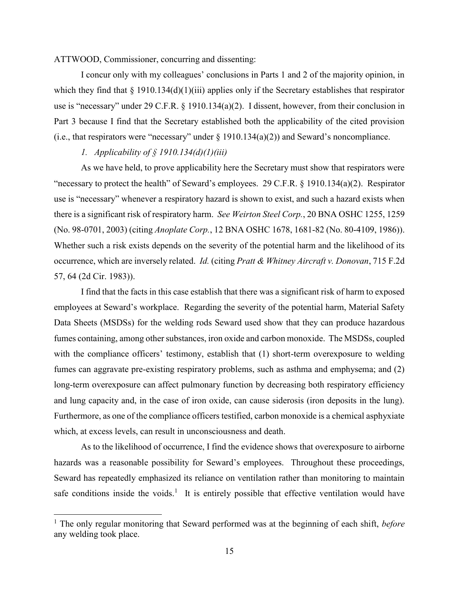## ATTWOOD, Commissioner, concurring and dissenting:

I concur only with my colleagues' conclusions in Parts 1 and 2 of the majority opinion, in which they find that  $\S 1910.134(d)(1)(iii)$  applies only if the Secretary establishes that respirator use is "necessary" under 29 C.F.R. § 1910.134(a)(2). I dissent, however, from their conclusion in Part 3 because I find that the Secretary established both the applicability of the cited provision (i.e., that respirators were "necessary" under  $\S 1910.134(a)(2)$ ) and Seward's noncompliance.

# *1. Applicability of § 1910.134(d)(1)(iii)*

 $\overline{a}$ 

As we have held, to prove applicability here the Secretary must show that respirators were "necessary to protect the health" of Seward's employees. 29 C.F.R. § 1910.134(a)(2). Respirator use is "necessary" whenever a respiratory hazard is shown to exist, and such a hazard exists when there is a significant risk of respiratory harm. *See Weirton Steel Corp.*, 20 BNA OSHC 1255, 1259 (No. 98-0701, 2003) (citing *Anoplate Corp.*, 12 BNA OSHC 1678, 1681-82 (No. 80-4109, 1986)). Whether such a risk exists depends on the severity of the potential harm and the likelihood of its occurrence, which are inversely related. *Id.* (citing *Pratt & Whitney Aircraft v. Donovan*, 715 F.2d 57, 64 (2d Cir. 1983)).

I find that the facts in this case establish that there was a significant risk of harm to exposed employees at Seward's workplace. Regarding the severity of the potential harm, Material Safety Data Sheets (MSDSs) for the welding rods Seward used show that they can produce hazardous fumes containing, among other substances, iron oxide and carbon monoxide. The MSDSs, coupled with the compliance officers' testimony, establish that (1) short-term overexposure to welding fumes can aggravate pre-existing respiratory problems, such as asthma and emphysema; and (2) long-term overexposure can affect pulmonary function by decreasing both respiratory efficiency and lung capacity and, in the case of iron oxide, can cause siderosis (iron deposits in the lung). Furthermore, as one of the compliance officers testified, carbon monoxide is a chemical asphyxiate which, at excess levels, can result in unconsciousness and death.

As to the likelihood of occurrence, I find the evidence shows that overexposure to airborne hazards was a reasonable possibility for Seward's employees. Throughout these proceedings, Seward has repeatedly emphasized its reliance on ventilation rather than monitoring to maintain safe conditions inside the voids.<sup>1</sup> It is entirely possible that effective ventilation would have

<sup>1</sup> The only regular monitoring that Seward performed was at the beginning of each shift, *before* any welding took place.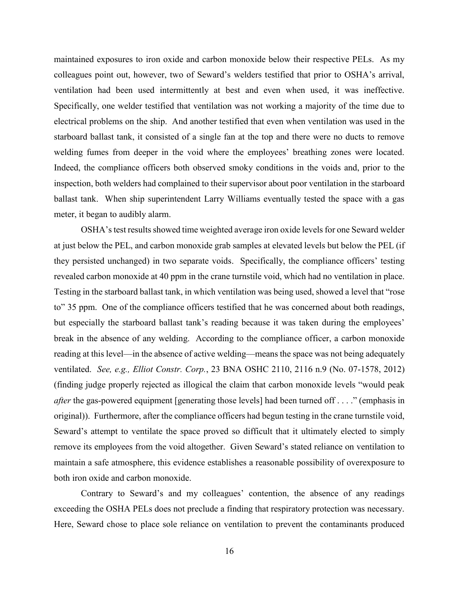maintained exposures to iron oxide and carbon monoxide below their respective PELs. As my colleagues point out, however, two of Seward's welders testified that prior to OSHA's arrival, ventilation had been used intermittently at best and even when used, it was ineffective. Specifically, one welder testified that ventilation was not working a majority of the time due to electrical problems on the ship. And another testified that even when ventilation was used in the starboard ballast tank, it consisted of a single fan at the top and there were no ducts to remove welding fumes from deeper in the void where the employees' breathing zones were located. Indeed, the compliance officers both observed smoky conditions in the voids and, prior to the inspection, both welders had complained to their supervisor about poor ventilation in the starboard ballast tank. When ship superintendent Larry Williams eventually tested the space with a gas meter, it began to audibly alarm.

OSHA's test results showed time weighted average iron oxide levels for one Seward welder at just below the PEL, and carbon monoxide grab samples at elevated levels but below the PEL (if they persisted unchanged) in two separate voids. Specifically, the compliance officers' testing revealed carbon monoxide at 40 ppm in the crane turnstile void, which had no ventilation in place. Testing in the starboard ballast tank, in which ventilation was being used, showed a level that "rose to" 35 ppm. One of the compliance officers testified that he was concerned about both readings, but especially the starboard ballast tank's reading because it was taken during the employees' break in the absence of any welding. According to the compliance officer, a carbon monoxide reading at this level—in the absence of active welding—means the space was not being adequately ventilated. *See, e.g., Elliot Constr. Corp.*, 23 BNA OSHC 2110, 2116 n.9 (No. 07-1578, 2012) (finding judge properly rejected as illogical the claim that carbon monoxide levels "would peak *after* the gas-powered equipment [generating those levels] had been turned off . . . ." (emphasis in original)). Furthermore, after the compliance officers had begun testing in the crane turnstile void, Seward's attempt to ventilate the space proved so difficult that it ultimately elected to simply remove its employees from the void altogether. Given Seward's stated reliance on ventilation to maintain a safe atmosphere, this evidence establishes a reasonable possibility of overexposure to both iron oxide and carbon monoxide.

Contrary to Seward's and my colleagues' contention, the absence of any readings exceeding the OSHA PELs does not preclude a finding that respiratory protection was necessary. Here, Seward chose to place sole reliance on ventilation to prevent the contaminants produced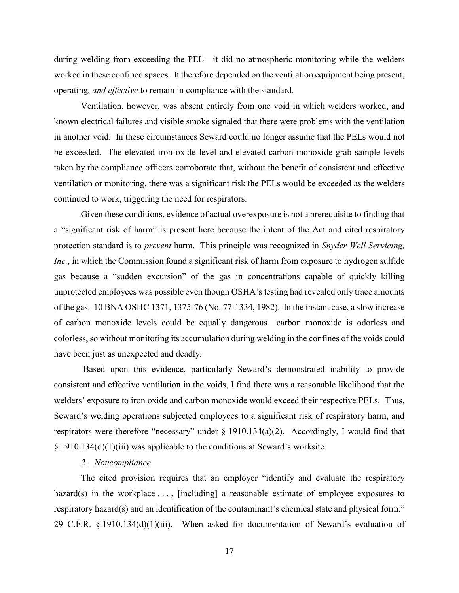during welding from exceeding the PEL—it did no atmospheric monitoring while the welders worked in these confined spaces. It therefore depended on the ventilation equipment being present, operating, *and effective* to remain in compliance with the standard*.*

Ventilation, however, was absent entirely from one void in which welders worked, and known electrical failures and visible smoke signaled that there were problems with the ventilation in another void. In these circumstances Seward could no longer assume that the PELs would not be exceeded. The elevated iron oxide level and elevated carbon monoxide grab sample levels taken by the compliance officers corroborate that, without the benefit of consistent and effective ventilation or monitoring, there was a significant risk the PELs would be exceeded as the welders continued to work, triggering the need for respirators.

Given these conditions, evidence of actual overexposure is not a prerequisite to finding that a "significant risk of harm" is present here because the intent of the Act and cited respiratory protection standard is to *prevent* harm. This principle was recognized in *Snyder Well Servicing, Inc.*, in which the Commission found a significant risk of harm from exposure to hydrogen sulfide gas because a "sudden excursion" of the gas in concentrations capable of quickly killing unprotected employees was possible even though OSHA's testing had revealed only trace amounts of the gas. 10 BNA OSHC 1371, 1375-76 (No. 77-1334, 1982). In the instant case, a slow increase of carbon monoxide levels could be equally dangerous—carbon monoxide is odorless and colorless, so without monitoring its accumulation during welding in the confines of the voids could have been just as unexpected and deadly.

Based upon this evidence, particularly Seward's demonstrated inability to provide consistent and effective ventilation in the voids, I find there was a reasonable likelihood that the welders' exposure to iron oxide and carbon monoxide would exceed their respective PELs. Thus, Seward's welding operations subjected employees to a significant risk of respiratory harm, and respirators were therefore "necessary" under § 1910.134(a)(2). Accordingly, I would find that § 1910.134(d)(1)(iii) was applicable to the conditions at Seward's worksite.

## *2. Noncompliance*

The cited provision requires that an employer "identify and evaluate the respiratory hazard(s) in the workplace  $\dots$ , [including] a reasonable estimate of employee exposures to respiratory hazard(s) and an identification of the contaminant's chemical state and physical form." 29 C.F.R. § 1910.134(d)(1)(iii). When asked for documentation of Seward's evaluation of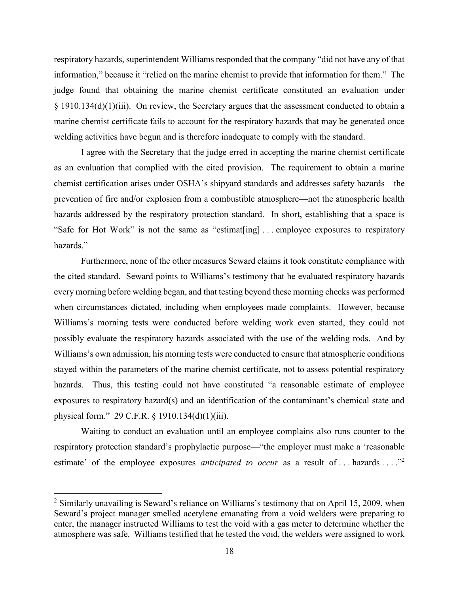respiratory hazards, superintendent Williams responded that the company "did not have any of that information," because it "relied on the marine chemist to provide that information for them." The judge found that obtaining the marine chemist certificate constituted an evaluation under § 1910.134(d)(1)(iii). On review, the Secretary argues that the assessment conducted to obtain a marine chemist certificate fails to account for the respiratory hazards that may be generated once welding activities have begun and is therefore inadequate to comply with the standard.

I agree with the Secretary that the judge erred in accepting the marine chemist certificate as an evaluation that complied with the cited provision. The requirement to obtain a marine chemist certification arises under OSHA's shipyard standards and addresses safety hazards—the prevention of fire and/or explosion from a combustible atmosphere—not the atmospheric health hazards addressed by the respiratory protection standard. In short, establishing that a space is "Safe for Hot Work" is not the same as "estimat[ing] . . . employee exposures to respiratory hazards."

Furthermore, none of the other measures Seward claims it took constitute compliance with the cited standard. Seward points to Williams's testimony that he evaluated respiratory hazards every morning before welding began, and that testing beyond these morning checks was performed when circumstances dictated, including when employees made complaints. However, because Williams's morning tests were conducted before welding work even started, they could not possibly evaluate the respiratory hazards associated with the use of the welding rods. And by Williams's own admission, his morning tests were conducted to ensure that atmospheric conditions stayed within the parameters of the marine chemist certificate, not to assess potential respiratory hazards. Thus, this testing could not have constituted "a reasonable estimate of employee exposures to respiratory hazard(s) and an identification of the contaminant's chemical state and physical form." 29 C.F.R. § 1910.134(d)(1)(iii).

Waiting to conduct an evaluation until an employee complains also runs counter to the respiratory protection standard's prophylactic purpose—"the employer must make a 'reasonable estimate' of the employee exposures *anticipated to occur* as a result of ... hazards ... ."<sup>2</sup>

l

<sup>&</sup>lt;sup>2</sup> Similarly unavailing is Seward's reliance on Williams's testimony that on April 15, 2009, when Seward's project manager smelled acetylene emanating from a void welders were preparing to enter, the manager instructed Williams to test the void with a gas meter to determine whether the atmosphere was safe. Williams testified that he tested the void, the welders were assigned to work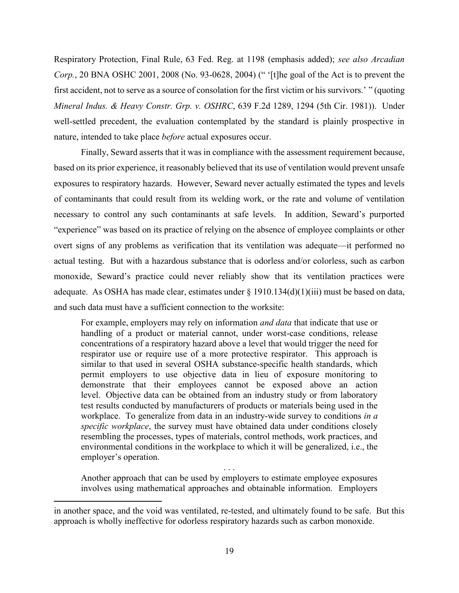Respiratory Protection, Final Rule, 63 Fed. Reg. at 1198 (emphasis added); *see also Arcadian Corp.*, 20 BNA OSHC 2001, 2008 (No. 93-0628, 2004) (" '[t]he goal of the Act is to prevent the first accident, not to serve as a source of consolation for the first victim or his survivors.' " (quoting *Mineral Indus. & Heavy Constr. Grp. v. OSHRC*, 639 F.2d 1289, 1294 (5th Cir. 1981)). Under well-settled precedent, the evaluation contemplated by the standard is plainly prospective in nature, intended to take place *before* actual exposures occur.

Finally, Seward asserts that it was in compliance with the assessment requirement because, based on its prior experience, it reasonably believed that its use of ventilation would prevent unsafe exposures to respiratory hazards. However, Seward never actually estimated the types and levels of contaminants that could result from its welding work, or the rate and volume of ventilation necessary to control any such contaminants at safe levels. In addition, Seward's purported "experience" was based on its practice of relying on the absence of employee complaints or other overt signs of any problems as verification that its ventilation was adequate—it performed no actual testing. But with a hazardous substance that is odorless and/or colorless, such as carbon monoxide, Seward's practice could never reliably show that its ventilation practices were adequate. As OSHA has made clear, estimates under § 1910.134(d)(1)(iii) must be based on data, and such data must have a sufficient connection to the worksite:

For example, employers may rely on information *and data* that indicate that use or handling of a product or material cannot, under worst-case conditions, release concentrations of a respiratory hazard above a level that would trigger the need for respirator use or require use of a more protective respirator. This approach is similar to that used in several OSHA substance-specific health standards, which permit employers to use objective data in lieu of exposure monitoring to demonstrate that their employees cannot be exposed above an action level. Objective data can be obtained from an industry study or from laboratory test results conducted by manufacturers of products or materials being used in the workplace. To generalize from data in an industry-wide survey to conditions *in a specific workplace*, the survey must have obtained data under conditions closely resembling the processes, types of materials, control methods, work practices, and environmental conditions in the workplace to which it will be generalized, i.e., the employer's operation.

Another approach that can be used by employers to estimate employee exposures involves using mathematical approaches and obtainable information. Employers

. . .

l

in another space, and the void was ventilated, re-tested, and ultimately found to be safe. But this approach is wholly ineffective for odorless respiratory hazards such as carbon monoxide.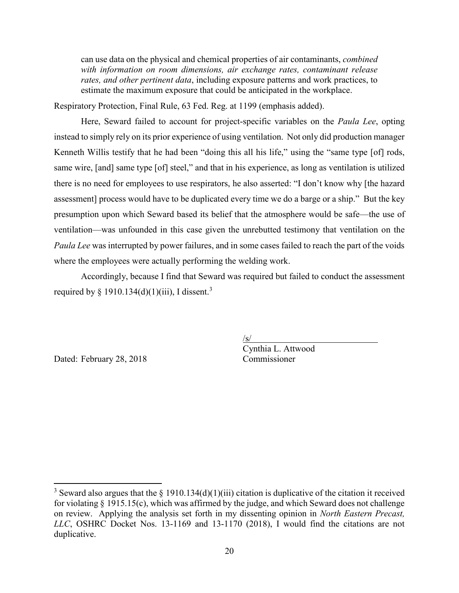can use data on the physical and chemical properties of air contaminants, *combined with information on room dimensions, air exchange rates, contaminant release rates, and other pertinent data*, including exposure patterns and work practices, to estimate the maximum exposure that could be anticipated in the workplace.

Respiratory Protection, Final Rule, 63 Fed. Reg. at 1199 (emphasis added).

Here, Seward failed to account for project-specific variables on the *Paula Lee*, opting instead to simply rely on its prior experience of using ventilation. Not only did production manager Kenneth Willis testify that he had been "doing this all his life," using the "same type [of] rods, same wire, [and] same type [of] steel," and that in his experience, as long as ventilation is utilized there is no need for employees to use respirators, he also asserted: "I don't know why [the hazard assessment] process would have to be duplicated every time we do a barge or a ship." But the key presumption upon which Seward based its belief that the atmosphere would be safe—the use of ventilation—was unfounded in this case given the unrebutted testimony that ventilation on the *Paula Lee* was interrupted by power failures, and in some cases failed to reach the part of the voids where the employees were actually performing the welding work.

Accordingly, because I find that Seward was required but failed to conduct the assessment required by § 1910.134(d)(1)(iii), I dissent.<sup>3</sup>

Dated: February 28, 2018 Commissioner

 $\overline{\phantom{a}}$ 

/s/ Cynthia L. Attwood

<sup>&</sup>lt;sup>3</sup> Seward also argues that the  $\S$  1910.134(d)(1)(iii) citation is duplicative of the citation it received for violating § 1915.15(c), which was affirmed by the judge, and which Seward does not challenge on review. Applying the analysis set forth in my dissenting opinion in *North Eastern Precast, LLC*, OSHRC Docket Nos. 13-1169 and 13-1170 (2018), I would find the citations are not duplicative.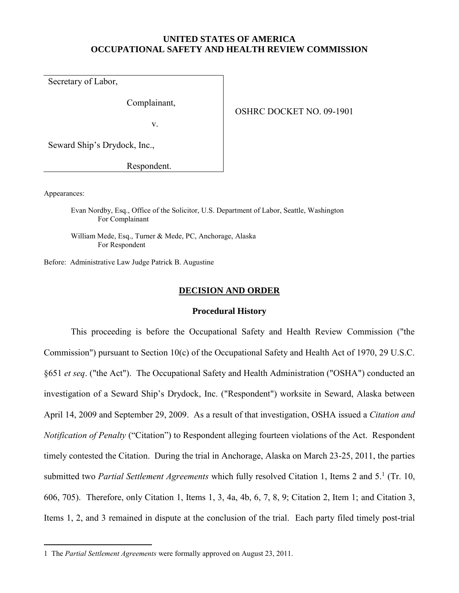## **UNITED STATES OF AMERICA OCCUPATIONAL SAFETY AND HEALTH REVIEW COMMISSION**

Secretary of Labor,

Complainant,

v.

OSHRC DOCKET NO. 09-1901

Seward Ship's Drydock, Inc.,

Respondent.

Appearances:

 $\overline{a}$ 

Evan Nordby, Esq., Office of the Solicitor, U.S. Department of Labor, Seattle, Washington For Complainant

William Mede, Esq., Turner & Mede, PC, Anchorage, Alaska For Respondent

Before: Administrative Law Judge Patrick B. Augustine

### **DECISION AND ORDER**

### **Procedural History**

This proceeding is before the Occupational Safety and Health Review Commission ("the Commission") pursuant to Section 10(c) of the Occupational Safety and Health Act of 1970, 29 U.S.C. §651 *et seq*. ("the Act"). The Occupational Safety and Health Administration ("OSHA") conducted an investigation of a Seward Ship's Drydock, Inc. ("Respondent") worksite in Seward, Alaska between April 14, 2009 and September 29, 2009. As a result of that investigation, OSHA issued a *Citation and Notification of Penalty* ("Citation") to Respondent alleging fourteen violations of the Act. Respondent timely contested the Citation. During the trial in Anchorage, Alaska on March 23-25, 2011, the parties submitted two Partial Settlement Agreements which fully resolved Citation 1, Items 2 and 5.<sup>1</sup> (Tr. 10, 606, 705). Therefore, only Citation 1, Items 1, 3, 4a, 4b, 6, 7, 8, 9; Citation 2, Item 1; and Citation 3, Items 1, 2, and 3 remained in dispute at the conclusion of the trial. Each party filed timely post-trial

<sup>1</sup> The *Partial Settlement Agreements* were formally approved on August 23, 2011.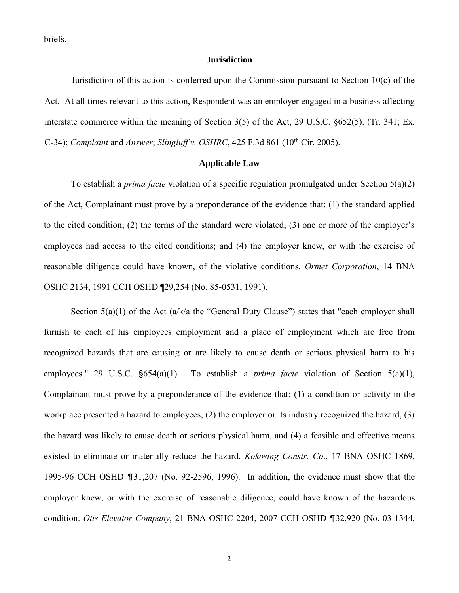briefs.

### **Jurisdiction**

Jurisdiction of this action is conferred upon the Commission pursuant to Section 10(c) of the Act. At all times relevant to this action, Respondent was an employer engaged in a business affecting interstate commerce within the meaning of Section 3(5) of the Act, 29 U.S.C. §652(5). (Tr. 341; Ex. C-34); *Complaint* and *Answer*; *Slingluff v. OSHRC*, 425 F.3d 861 (10th Cir. 2005).

## **Applicable Law**

To establish a *prima facie* violation of a specific regulation promulgated under Section 5(a)(2) of the Act, Complainant must prove by a preponderance of the evidence that: (1) the standard applied to the cited condition; (2) the terms of the standard were violated; (3) one or more of the employer's employees had access to the cited conditions; and (4) the employer knew, or with the exercise of reasonable diligence could have known, of the violative conditions. *Ormet Corporation*, 14 BNA OSHC 2134, 1991 CCH OSHD ¶29,254 (No. 85-0531, 1991).

Section  $5(a)(1)$  of the Act  $(a/k/a)$  the "General Duty Clause") states that "each employer shall furnish to each of his employees employment and a place of employment which are free from recognized hazards that are causing or are likely to cause death or serious physical harm to his employees." 29 U.S.C.  $\S654(a)(1)$ . To establish a *prima facie* violation of Section 5(a)(1), Complainant must prove by a preponderance of the evidence that: (1) a condition or activity in the workplace presented a hazard to employees, (2) the employer or its industry recognized the hazard, (3) the hazard was likely to cause death or serious physical harm, and (4) a feasible and effective means existed to eliminate or materially reduce the hazard. *Kokosing Constr. Co*., 17 BNA OSHC 1869, 1995-96 CCH OSHD  $\P$ 31,207 (No. 92-2596, 1996). In addition, the evidence must show that the employer knew, or with the exercise of reasonable diligence, could have known of the hazardous condition. *Otis Elevator Company*, 21 BNA OSHC 2204, 2007 CCH OSHD ¶32,920 (No. 03-1344,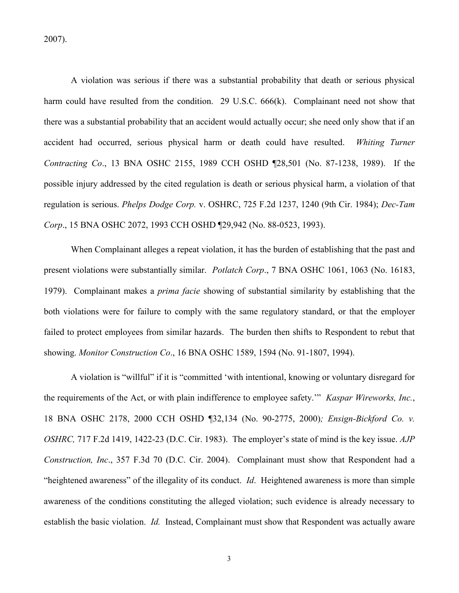2007).

A violation was serious if there was a substantial probability that death or serious physical harm could have resulted from the condition. 29 U.S.C. 666(k). Complainant need not show that there was a substantial probability that an accident would actually occur; she need only show that if an accident had occurred, serious physical harm or death could have resulted. *Whiting Turner Contracting Co*., 13 BNA OSHC 2155, 1989 CCH OSHD ¶28,501 (No. 87-1238, 1989). If the possible injury addressed by the cited regulation is death or serious physical harm, a violation of that regulation is serious. *Phelps Dodge Corp.* v. OSHRC, 725 F.2d 1237, 1240 (9th Cir. 1984); *Dec-Tam Corp*., 15 BNA OSHC 2072, 1993 CCH OSHD ¶29,942 (No. 88-0523, 1993).

When Complainant alleges a repeat violation, it has the burden of establishing that the past and present violations were substantially similar. *Potlatch Corp*., 7 BNA OSHC 1061, 1063 (No. 16183, 1979). Complainant makes a *prima facie* showing of substantial similarity by establishing that the both violations were for failure to comply with the same regulatory standard, or that the employer failed to protect employees from similar hazards. The burden then shifts to Respondent to rebut that showing. *Monitor Construction Co*., 16 BNA OSHC 1589, 1594 (No. 91-1807, 1994).

A violation is "willful" if it is "committed 'with intentional, knowing or voluntary disregard for the requirements of the Act, or with plain indifference to employee safety.'" *Kaspar Wireworks, Inc.*, 18 BNA OSHC 2178, 2000 CCH OSHD ¶32,134 (No. 90-2775, 2000)*; Ensign-Bickford Co. v. OSHRC,* 717 F.2d 1419, 1422-23 (D.C. Cir. 1983). The employer's state of mind is the key issue. *AJP Construction, Inc*., 357 F.3d 70 (D.C. Cir. 2004). Complainant must show that Respondent had a "heightened awareness" of the illegality of its conduct. *Id*. Heightened awareness is more than simple awareness of the conditions constituting the alleged violation; such evidence is already necessary to establish the basic violation. *Id.* Instead, Complainant must show that Respondent was actually aware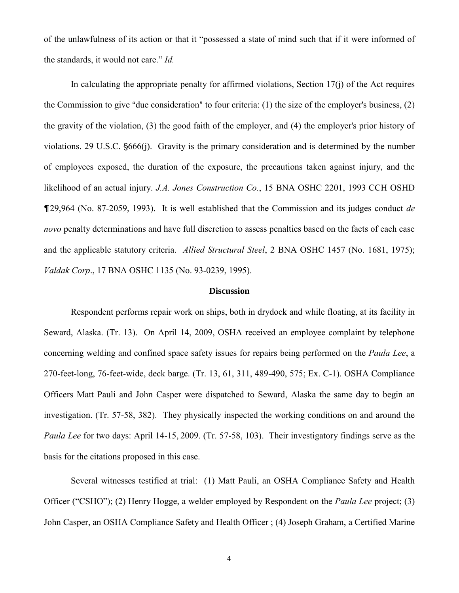of the unlawfulness of its action or that it "possessed a state of mind such that if it were informed of the standards, it would not care." *Id.* 

In calculating the appropriate penalty for affirmed violations, Section 17(j) of the Act requires the Commission to give "due consideration" to four criteria:  $(1)$  the size of the employer's business,  $(2)$ the gravity of the violation, (3) the good faith of the employer, and (4) the employer's prior history of violations. 29 U.S.C.  $\S666(i)$ . Gravity is the primary consideration and is determined by the number of employees exposed, the duration of the exposure, the precautions taken against injury, and the likelihood of an actual injury. *J.A. Jones Construction Co.*, 15 BNA OSHC 2201, 1993 CCH OSHD &29,964 (No. 87-2059, 1993). It is well established that the Commission and its judges conduct *de novo* penalty determinations and have full discretion to assess penalties based on the facts of each case and the applicable statutory criteria. *Allied Structural Steel*, 2 BNA OSHC 1457 (No. 1681, 1975); *Valdak Corp*., 17 BNA OSHC 1135 (No. 93-0239, 1995).

#### **Discussion**

Respondent performs repair work on ships, both in drydock and while floating, at its facility in Seward, Alaska. (Tr. 13). On April 14, 2009, OSHA received an employee complaint by telephone concerning welding and confined space safety issues for repairs being performed on the *Paula Lee*, a 270-feet-long, 76-feet-wide, deck barge. (Tr. 13, 61, 311, 489-490, 575; Ex. C-1). OSHA Compliance Officers Matt Pauli and John Casper were dispatched to Seward, Alaska the same day to begin an investigation. (Tr. 57-58, 382). They physically inspected the working conditions on and around the *Paula Lee* for two days: April 14-15, 2009. (Tr. 57-58, 103). Their investigatory findings serve as the basis for the citations proposed in this case.

Several witnesses testified at trial: (1) Matt Pauli, an OSHA Compliance Safety and Health Officer ("CSHO"); (2) Henry Hogge, a welder employed by Respondent on the *Paula Lee* project; (3) John Casper, an OSHA Compliance Safety and Health Officer ; (4) Joseph Graham, a Certified Marine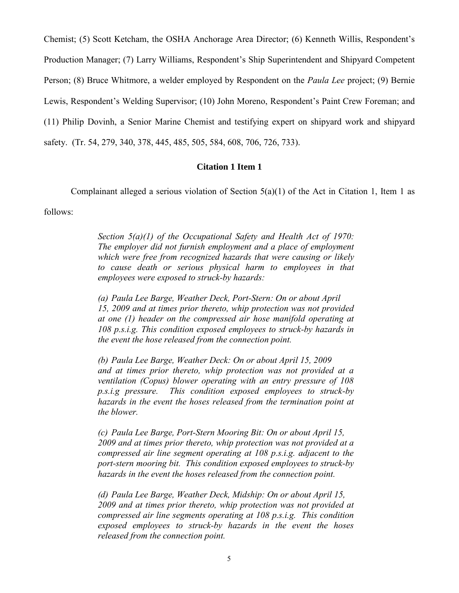Chemist; (5) Scott Ketcham, the OSHA Anchorage Area Director; (6) Kenneth Willis, Respondent's Production Manager; (7) Larry Williams, Respondent's Ship Superintendent and Shipyard Competent Person; (8) Bruce Whitmore, a welder employed by Respondent on the *Paula Lee* project; (9) Bernie Lewis, Respondent's Welding Supervisor; (10) John Moreno, Respondent's Paint Crew Foreman; and (11) Philip Dovinh, a Senior Marine Chemist and testifying expert on shipyard work and shipyard safety. (Tr. 54, 279, 340, 378, 445, 485, 505, 584, 608, 706, 726, 733).

## **Citation 1 Item 1**

Complainant alleged a serious violation of Section  $5(a)(1)$  of the Act in Citation 1, Item 1 as

follows:

*Section 5(a)(1) of the Occupational Safety and Health Act of 1970: The employer did not furnish employment and a place of employment which were free from recognized hazards that were causing or likely to cause death or serious physical harm to employees in that employees were exposed to struck-by hazards:*

*(a) Paula Lee Barge, Weather Deck, Port-Stern: On or about April 15, 2009 and at times prior thereto, whip protection was not provided at one (1) header on the compressed air hose manifold operating at 108 p.s.i.g. This condition exposed employees to struck-by hazards in the event the hose released from the connection point.*

*(b) Paula Lee Barge, Weather Deck: On or about April 15, 2009 and at times prior thereto, whip protection was not provided at a ventilation (Copus) blower operating with an entry pressure of 108 p.s.i.g pressure. This condition exposed employees to struck-by hazards in the event the hoses released from the termination point at the blower.*

*(c) Paula Lee Barge, Port-Stern Mooring Bit: On or about April 15, 2009 and at times prior thereto, whip protection was not provided at a compressed air line segment operating at 108 p.s.i.g. adjacent to the port-stern mooring bit. This condition exposed employees to struck-by hazards in the event the hoses released from the connection point.*

*(d) Paula Lee Barge, Weather Deck, Midship: On or about April 15, 2009 and at times prior thereto, whip protection was not provided at compressed air line segments operating at 108 p.s.i.g. This condition exposed employees to struck-by hazards in the event the hoses released from the connection point.*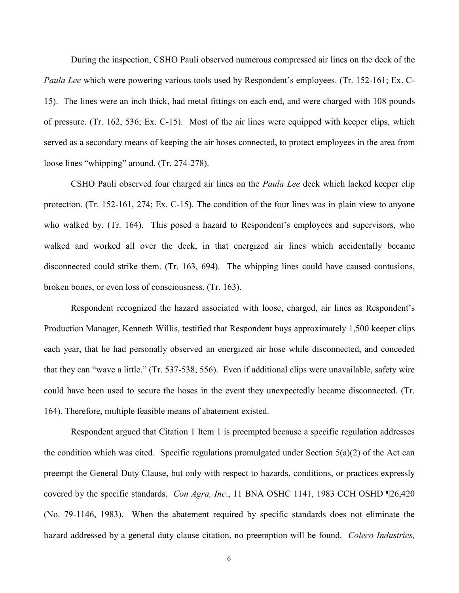During the inspection, CSHO Pauli observed numerous compressed air lines on the deck of the *Paula Lee* which were powering various tools used by Respondent's employees. (Tr. 152-161; Ex. C-15). The lines were an inch thick, had metal fittings on each end, and were charged with 108 pounds of pressure. (Tr. 162, 536; Ex. C-15). Most of the air lines were equipped with keeper clips, which served as a secondary means of keeping the air hoses connected, to protect employees in the area from loose lines "whipping" around. (Tr. 274-278).

CSHO Pauli observed four charged air lines on the *Paula Lee* deck which lacked keeper clip protection. (Tr. 152-161, 274; Ex. C-15). The condition of the four lines was in plain view to anyone who walked by. (Tr. 164). This posed a hazard to Respondent's employees and supervisors, who walked and worked all over the deck, in that energized air lines which accidentally became disconnected could strike them. (Tr. 163, 694). The whipping lines could have caused contusions, broken bones, or even loss of consciousness. (Tr. 163).

Respondent recognized the hazard associated with loose, charged, air lines as Respondent's Production Manager, Kenneth Willis, testified that Respondent buys approximately 1,500 keeper clips each year, that he had personally observed an energized air hose while disconnected, and conceded that they can "wave a little." (Tr. 537-538, 556). Even if additional clips were unavailable, safety wire could have been used to secure the hoses in the event they unexpectedly became disconnected. (Tr. 164). Therefore, multiple feasible means of abatement existed.

Respondent argued that Citation 1 Item 1 is preempted because a specific regulation addresses the condition which was cited. Specific regulations promulgated under Section  $5(a)(2)$  of the Act can preempt the General Duty Clause, but only with respect to hazards, conditions, or practices expressly covered by the specific standards. *Con Agra, Inc*., 11 BNA OSHC 1141, 1983 CCH OSHD ¶26,420 (No. 79-1146, 1983). When the abatement required by specific standards does not eliminate the hazard addressed by a general duty clause citation, no preemption will be found. *Coleco Industries,*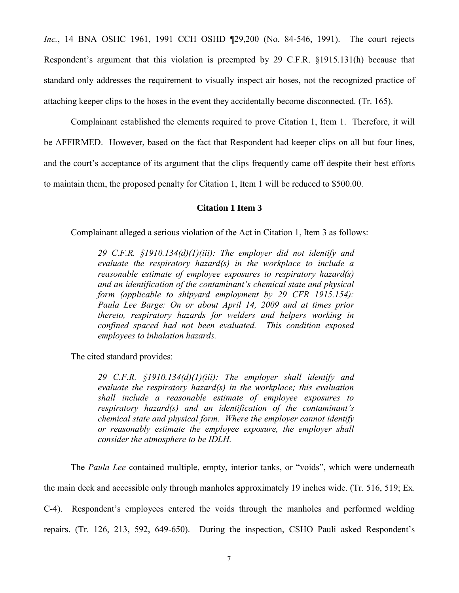*Inc.*, 14 BNA OSHC 1961, 1991 CCH OSHD ¶29,200 (No. 84-546, 1991). The court rejects Respondent's argument that this violation is preempted by 29 C.F.R. §1915.131(h) because that standard only addresses the requirement to visually inspect air hoses, not the recognized practice of attaching keeper clips to the hoses in the event they accidentally become disconnected. (Tr. 165).

Complainant established the elements required to prove Citation 1, Item 1. Therefore, it will be AFFIRMED. However, based on the fact that Respondent had keeper clips on all but four lines, and the court's acceptance of its argument that the clips frequently came off despite their best efforts to maintain them, the proposed penalty for Citation 1, Item 1 will be reduced to \$500.00.

## **Citation 1 Item 3**

Complainant alleged a serious violation of the Act in Citation 1, Item 3 as follows:

*29 C.F.R. §1910.134(d)(1)(iii): The employer did not identify and evaluate the respiratory hazard(s) in the workplace to include a reasonable estimate of employee exposures to respiratory hazard(s) and an identification of the contaminant's chemical state and physical form (applicable to shipyard employment by 29 CFR 1915.154): Paula Lee Barge: On or about April 14, 2009 and at times prior thereto, respiratory hazards for welders and helpers working in confined spaced had not been evaluated. This condition exposed employees to inhalation hazards.*

The cited standard provides:

*29 C.F.R. §1910.134(d)(1)(iii): The employer shall identify and evaluate the respiratory hazard(s) in the workplace; this evaluation shall include a reasonable estimate of employee exposures to respiratory hazard(s) and an identification of the contaminant's chemical state and physical form. Where the employer cannot identify or reasonably estimate the employee exposure, the employer shall consider the atmosphere to be IDLH.*

The *Paula Lee* contained multiple, empty, interior tanks, or "voids", which were underneath the main deck and accessible only through manholes approximately 19 inches wide. (Tr. 516, 519; Ex. C-4). Respondent's employees entered the voids through the manholes and performed welding repairs. (Tr. 126, 213, 592, 649-650). During the inspection, CSHO Pauli asked Respondent's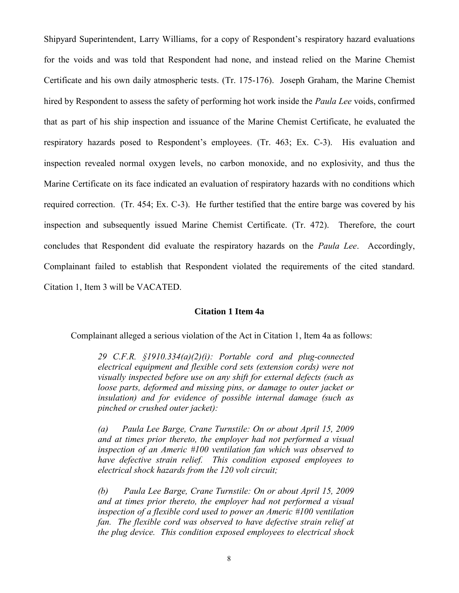Shipyard Superintendent, Larry Williams, for a copy of Respondent's respiratory hazard evaluations for the voids and was told that Respondent had none, and instead relied on the Marine Chemist Certificate and his own daily atmospheric tests. (Tr. 175-176). Joseph Graham, the Marine Chemist hired by Respondent to assess the safety of performing hot work inside the *Paula Lee* voids, confirmed that as part of his ship inspection and issuance of the Marine Chemist Certificate, he evaluated the respiratory hazards posed to Respondent's employees. (Tr. 463; Ex. C-3). His evaluation and inspection revealed normal oxygen levels, no carbon monoxide, and no explosivity, and thus the Marine Certificate on its face indicated an evaluation of respiratory hazards with no conditions which required correction. (Tr. 454; Ex. C-3). He further testified that the entire barge was covered by his inspection and subsequently issued Marine Chemist Certificate. (Tr. 472). Therefore, the court concludes that Respondent did evaluate the respiratory hazards on the *Paula Lee*. Accordingly, Complainant failed to establish that Respondent violated the requirements of the cited standard. Citation 1, Item 3 will be VACATED.

## **Citation 1 Item 4a**

Complainant alleged a serious violation of the Act in Citation 1, Item 4a as follows:

*29 C.F.R. §1910.334(a)(2)(i): Portable cord and plug-connected electrical equipment and flexible cord sets (extension cords) were not visually inspected before use on any shift for external defects (such as loose parts, deformed and missing pins, or damage to outer jacket or insulation) and for evidence of possible internal damage (such as pinched or crushed outer jacket):*

*(a) Paula Lee Barge, Crane Turnstile: On or about April 15, 2009 and at times prior thereto, the employer had not performed a visual inspection of an Americ #100 ventilation fan which was observed to have defective strain relief. This condition exposed employees to electrical shock hazards from the 120 volt circuit;* 

*(b) Paula Lee Barge, Crane Turnstile: On or about April 15, 2009 and at times prior thereto, the employer had not performed a visual inspection of a flexible cord used to power an Americ #100 ventilation fan. The flexible cord was observed to have defective strain relief at the plug device. This condition exposed employees to electrical shock*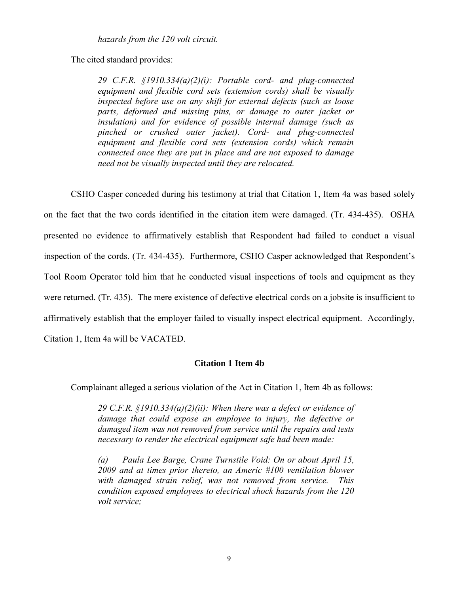*hazards from the 120 volt circuit.*

The cited standard provides:

*29 C.F.R. §1910.334(a)(2)(i): Portable cord- and plug-connected equipment and flexible cord sets (extension cords) shall be visually inspected before use on any shift for external defects (such as loose parts, deformed and missing pins, or damage to outer jacket or insulation) and for evidence of possible internal damage (such as pinched or crushed outer jacket). Cord- and plug-connected equipment and flexible cord sets (extension cords) which remain connected once they are put in place and are not exposed to damage need not be visually inspected until they are relocated.* 

CSHO Casper conceded during his testimony at trial that Citation 1, Item 4a was based solely on the fact that the two cords identified in the citation item were damaged. (Tr. 434-435). OSHA presented no evidence to affirmatively establish that Respondent had failed to conduct a visual inspection of the cords. (Tr. 434-435). Furthermore, CSHO Casper acknowledged that Respondent's Tool Room Operator told him that he conducted visual inspections of tools and equipment as they were returned. (Tr. 435). The mere existence of defective electrical cords on a jobsite is insufficient to affirmatively establish that the employer failed to visually inspect electrical equipment. Accordingly, Citation 1, Item 4a will be VACATED.

## **Citation 1 Item 4b**

Complainant alleged a serious violation of the Act in Citation 1, Item 4b as follows:

*29 C.F.R. §1910.334(a)(2)(ii): When there was a defect or evidence of damage that could expose an employee to injury, the defective or damaged item was not removed from service until the repairs and tests necessary to render the electrical equipment safe had been made:*

*(a) Paula Lee Barge, Crane Turnstile Void: On or about April 15, 2009 and at times prior thereto, an Americ #100 ventilation blower with damaged strain relief, was not removed from service. This condition exposed employees to electrical shock hazards from the 120 volt service;*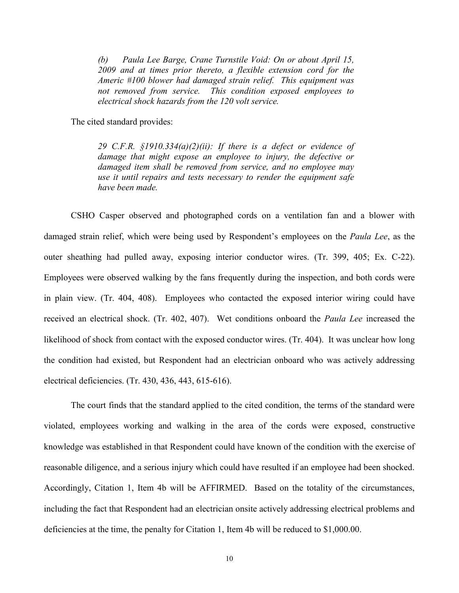*(b) Paula Lee Barge, Crane Turnstile Void: On or about April 15, 2009 and at times prior thereto, a flexible extension cord for the Americ #100 blower had damaged strain relief. This equipment was not removed from service. This condition exposed employees to electrical shock hazards from the 120 volt service.*

The cited standard provides:

*29 C.F.R. §1910.334(a)(2)(ii): If there is a defect or evidence of damage that might expose an employee to injury, the defective or damaged item shall be removed from service, and no employee may use it until repairs and tests necessary to render the equipment safe have been made.* 

CSHO Casper observed and photographed cords on a ventilation fan and a blower with damaged strain relief, which were being used by Respondent's employees on the *Paula Lee*, as the outer sheathing had pulled away, exposing interior conductor wires. (Tr. 399, 405; Ex. C-22). Employees were observed walking by the fans frequently during the inspection, and both cords were in plain view. (Tr. 404, 408). Employees who contacted the exposed interior wiring could have received an electrical shock. (Tr. 402, 407). Wet conditions onboard the *Paula Lee* increased the likelihood of shock from contact with the exposed conductor wires. (Tr. 404). It was unclear how long the condition had existed, but Respondent had an electrician onboard who was actively addressing electrical deficiencies. (Tr. 430, 436, 443, 615-616).

The court finds that the standard applied to the cited condition, the terms of the standard were violated, employees working and walking in the area of the cords were exposed, constructive knowledge was established in that Respondent could have known of the condition with the exercise of reasonable diligence, and a serious injury which could have resulted if an employee had been shocked. Accordingly, Citation 1, Item 4b will be AFFIRMED. Based on the totality of the circumstances, including the fact that Respondent had an electrician onsite actively addressing electrical problems and deficiencies at the time, the penalty for Citation 1, Item 4b will be reduced to \$1,000.00.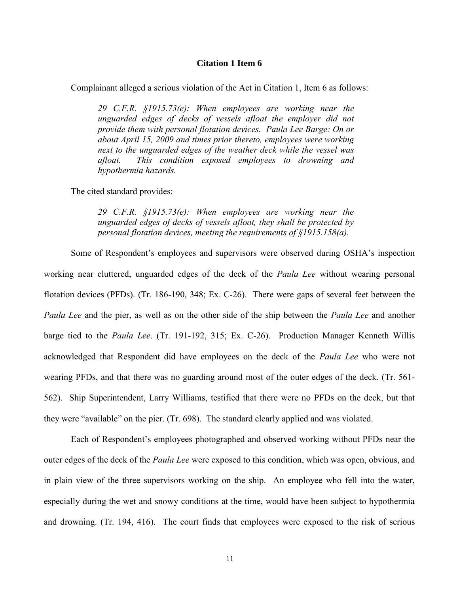### **Citation 1 Item 6**

Complainant alleged a serious violation of the Act in Citation 1, Item 6 as follows:

*29 C.F.R. §1915.73(e): When employees are working near the unguarded edges of decks of vessels afloat the employer did not provide them with personal flotation devices. Paula Lee Barge: On or about April 15, 2009 and times prior thereto, employees were working next to the unguarded edges of the weather deck while the vessel was afloat. This condition exposed employees to drowning and hypothermia hazards.* 

The cited standard provides:

*29 C.F.R. §1915.73(e): When employees are working near the unguarded edges of decks of vessels afloat, they shall be protected by personal flotation devices, meeting the requirements of §1915.158(a).*

Some of Respondent's employees and supervisors were observed during OSHA's inspection working near cluttered, unguarded edges of the deck of the *Paula Lee* without wearing personal flotation devices (PFDs). (Tr. 186-190, 348; Ex. C-26). There were gaps of several feet between the *Paula Lee* and the pier, as well as on the other side of the ship between the *Paula Lee* and another barge tied to the *Paula Lee*. (Tr. 191-192, 315; Ex. C-26). Production Manager Kenneth Willis acknowledged that Respondent did have employees on the deck of the *Paula Lee* who were not wearing PFDs, and that there was no guarding around most of the outer edges of the deck. (Tr. 561- 562). Ship Superintendent, Larry Williams, testified that there were no PFDs on the deck, but that they were "available" on the pier. (Tr. 698). The standard clearly applied and was violated.

Each of Respondent's employees photographed and observed working without PFDs near the outer edges of the deck of the *Paula Lee* were exposed to this condition, which was open, obvious, and in plain view of the three supervisors working on the ship. An employee who fell into the water, especially during the wet and snowy conditions at the time, would have been subject to hypothermia and drowning. (Tr. 194, 416). The court finds that employees were exposed to the risk of serious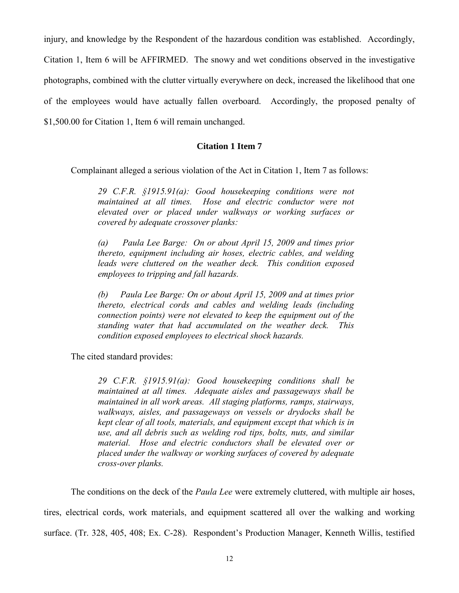injury, and knowledge by the Respondent of the hazardous condition was established. Accordingly, Citation 1, Item 6 will be AFFIRMED. The snowy and wet conditions observed in the investigative photographs, combined with the clutter virtually everywhere on deck, increased the likelihood that one of the employees would have actually fallen overboard. Accordingly, the proposed penalty of \$1,500.00 for Citation 1, Item 6 will remain unchanged.

# **Citation 1 Item 7**

Complainant alleged a serious violation of the Act in Citation 1, Item 7 as follows:

*29 C.F.R. §1915.91(a): Good housekeeping conditions were not maintained at all times. Hose and electric conductor were not elevated over or placed under walkways or working surfaces or covered by adequate crossover planks:*

*(a) Paula Lee Barge: On or about April 15, 2009 and times prior thereto, equipment including air hoses, electric cables, and welding leads were cluttered on the weather deck. This condition exposed employees to tripping and fall hazards.*

*(b) Paula Lee Barge: On or about April 15, 2009 and at times prior thereto, electrical cords and cables and welding leads (including connection points) were not elevated to keep the equipment out of the standing water that had accumulated on the weather deck. This condition exposed employees to electrical shock hazards.*

The cited standard provides:

*29 C.F.R. §1915.91(a): Good housekeeping conditions shall be maintained at all times. Adequate aisles and passageways shall be maintained in all work areas. All staging platforms, ramps, stairways, walkways, aisles, and passageways on vessels or drydocks shall be kept clear of all tools, materials, and equipment except that which is in use, and all debris such as welding rod tips, bolts, nuts, and similar material. Hose and electric conductors shall be elevated over or placed under the walkway or working surfaces of covered by adequate cross-over planks.*

The conditions on the deck of the *Paula Lee* were extremely cluttered, with multiple air hoses, tires, electrical cords, work materials, and equipment scattered all over the walking and working surface. (Tr. 328, 405, 408; Ex. C-28). Respondent's Production Manager, Kenneth Willis, testified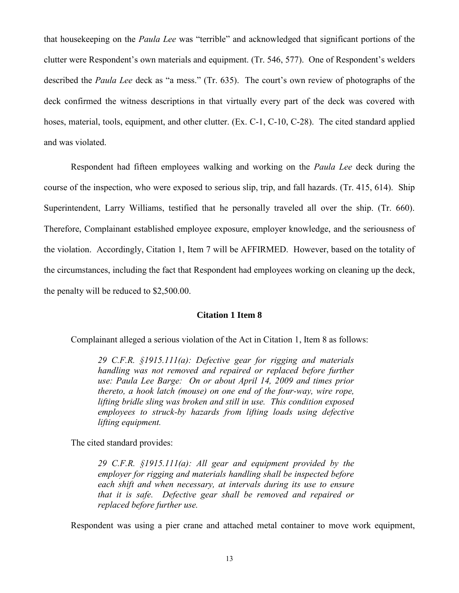that housekeeping on the *Paula Lee* was "terrible" and acknowledged that significant portions of the clutter were Respondent's own materials and equipment. (Tr. 546, 577). One of Respondent's welders described the *Paula Lee* deck as "a mess." (Tr. 635). The court's own review of photographs of the deck confirmed the witness descriptions in that virtually every part of the deck was covered with hoses, material, tools, equipment, and other clutter. (Ex. C-1, C-10, C-28). The cited standard applied and was violated.

Respondent had fifteen employees walking and working on the *Paula Lee* deck during the course of the inspection, who were exposed to serious slip, trip, and fall hazards. (Tr. 415, 614). Ship Superintendent, Larry Williams, testified that he personally traveled all over the ship. (Tr. 660). Therefore, Complainant established employee exposure, employer knowledge, and the seriousness of the violation. Accordingly, Citation 1, Item 7 will be AFFIRMED. However, based on the totality of the circumstances, including the fact that Respondent had employees working on cleaning up the deck, the penalty will be reduced to \$2,500.00.

## **Citation 1 Item 8**

Complainant alleged a serious violation of the Act in Citation 1, Item 8 as follows:

*29 C.F.R. §1915.111(a): Defective gear for rigging and materials handling was not removed and repaired or replaced before further use: Paula Lee Barge: On or about April 14, 2009 and times prior thereto, a hook latch (mouse) on one end of the four-way, wire rope, lifting bridle sling was broken and still in use. This condition exposed employees to struck-by hazards from lifting loads using defective lifting equipment.* 

The cited standard provides:

*29 C.F.R. §1915.111(a): All gear and equipment provided by the employer for rigging and materials handling shall be inspected before each shift and when necessary, at intervals during its use to ensure that it is safe. Defective gear shall be removed and repaired or replaced before further use.*

Respondent was using a pier crane and attached metal container to move work equipment,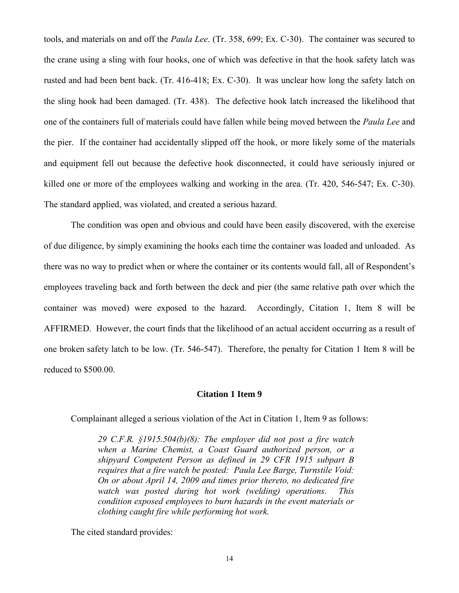tools, and materials on and off the *Paula Lee*. (Tr. 358, 699; Ex. C-30). The container was secured to the crane using a sling with four hooks, one of which was defective in that the hook safety latch was rusted and had been bent back. (Tr. 416-418; Ex. C-30). It was unclear how long the safety latch on the sling hook had been damaged. (Tr. 438). The defective hook latch increased the likelihood that one of the containers full of materials could have fallen while being moved between the *Paula Lee* and the pier. If the container had accidentally slipped off the hook, or more likely some of the materials and equipment fell out because the defective hook disconnected, it could have seriously injured or killed one or more of the employees walking and working in the area. (Tr. 420, 546-547; Ex. C-30). The standard applied, was violated, and created a serious hazard.

The condition was open and obvious and could have been easily discovered, with the exercise of due diligence, by simply examining the hooks each time the container was loaded and unloaded. As there was no way to predict when or where the container or its contents would fall, all of Respondent's employees traveling back and forth between the deck and pier (the same relative path over which the container was moved) were exposed to the hazard. Accordingly, Citation 1, Item 8 will be AFFIRMED. However, the court finds that the likelihood of an actual accident occurring as a result of one broken safety latch to be low. (Tr. 546-547). Therefore, the penalty for Citation 1 Item 8 will be reduced to \$500.00.

## **Citation 1 Item 9**

Complainant alleged a serious violation of the Act in Citation 1, Item 9 as follows:

*29 C.F.R. §1915.504(b)(8): The employer did not post a fire watch when a Marine Chemist, a Coast Guard authorized person, or a shipyard Competent Person as defined in 29 CFR 1915 subpart B requires that a fire watch be posted: Paula Lee Barge, Turnstile Void: On or about April 14, 2009 and times prior thereto, no dedicated fire watch was posted during hot work (welding) operations. This condition exposed employees to burn hazards in the event materials or clothing caught fire while performing hot work.*

The cited standard provides: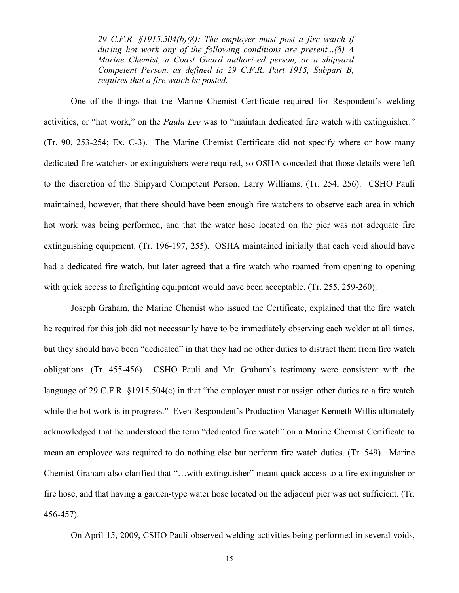*29 C.F.R. §1915.504(b)(8): The employer must post a fire watch if during hot work any of the following conditions are present...(8) A Marine Chemist, a Coast Guard authorized person, or a shipyard Competent Person, as defined in 29 C.F.R. Part 1915, Subpart B, requires that a fire watch be posted.* 

One of the things that the Marine Chemist Certificate required for Respondent's welding activities, or "hot work," on the *Paula Lee* was to "maintain dedicated fire watch with extinguisher." (Tr. 90, 253-254; Ex. C-3). The Marine Chemist Certificate did not specify where or how many dedicated fire watchers or extinguishers were required, so OSHA conceded that those details were left to the discretion of the Shipyard Competent Person, Larry Williams. (Tr. 254, 256). CSHO Pauli maintained, however, that there should have been enough fire watchers to observe each area in which hot work was being performed, and that the water hose located on the pier was not adequate fire extinguishing equipment. (Tr. 196-197, 255). OSHA maintained initially that each void should have had a dedicated fire watch, but later agreed that a fire watch who roamed from opening to opening with quick access to firefighting equipment would have been acceptable. (Tr. 255, 259-260).

Joseph Graham, the Marine Chemist who issued the Certificate, explained that the fire watch he required for this job did not necessarily have to be immediately observing each welder at all times, but they should have been "dedicated" in that they had no other duties to distract them from fire watch obligations. (Tr. 455-456). CSHO Pauli and Mr. Graham's testimony were consistent with the language of 29 C.F.R. §1915.504(c) in that "the employer must not assign other duties to a fire watch while the hot work is in progress." Even Respondent's Production Manager Kenneth Willis ultimately acknowledged that he understood the term "dedicated fire watch" on a Marine Chemist Certificate to mean an employee was required to do nothing else but perform fire watch duties. (Tr. 549). Marine Chemist Graham also clarified that "…with extinguisher" meant quick access to a fire extinguisher or fire hose, and that having a garden-type water hose located on the adjacent pier was not sufficient. (Tr. 456-457).

On April 15, 2009, CSHO Pauli observed welding activities being performed in several voids,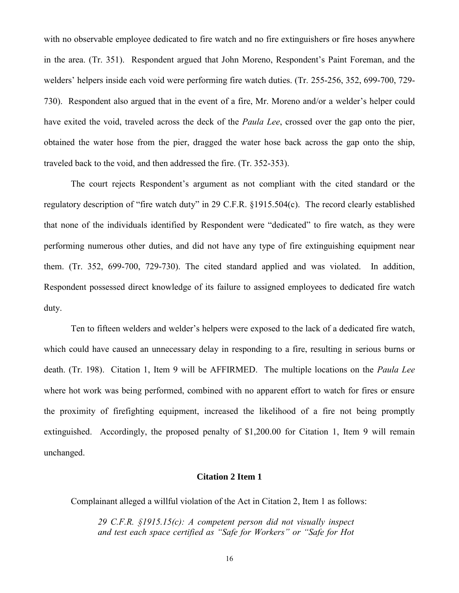with no observable employee dedicated to fire watch and no fire extinguishers or fire hoses anywhere in the area. (Tr. 351). Respondent argued that John Moreno, Respondent's Paint Foreman, and the welders' helpers inside each void were performing fire watch duties. (Tr. 255-256, 352, 699-700, 729- 730). Respondent also argued that in the event of a fire, Mr. Moreno and/or a welder's helper could have exited the void, traveled across the deck of the *Paula Lee*, crossed over the gap onto the pier, obtained the water hose from the pier, dragged the water hose back across the gap onto the ship, traveled back to the void, and then addressed the fire. (Tr. 352-353).

The court rejects Respondent's argument as not compliant with the cited standard or the regulatory description of "fire watch duty" in 29 C.F.R. §1915.504(c). The record clearly established that none of the individuals identified by Respondent were "dedicated" to fire watch, as they were performing numerous other duties, and did not have any type of fire extinguishing equipment near them. (Tr. 352, 699-700, 729-730). The cited standard applied and was violated. In addition, Respondent possessed direct knowledge of its failure to assigned employees to dedicated fire watch duty.

 Ten to fifteen welders and welder's helpers were exposed to the lack of a dedicated fire watch, which could have caused an unnecessary delay in responding to a fire, resulting in serious burns or death. (Tr. 198). Citation 1, Item 9 will be AFFIRMED. The multiple locations on the *Paula Lee* where hot work was being performed, combined with no apparent effort to watch for fires or ensure the proximity of firefighting equipment, increased the likelihood of a fire not being promptly extinguished. Accordingly, the proposed penalty of \$1,200.00 for Citation 1, Item 9 will remain unchanged.

### **Citation 2 Item 1**

Complainant alleged a willful violation of the Act in Citation 2, Item 1 as follows:

*29 C.F.R. §1915.15(c): A competent person did not visually inspect and test each space certified as "Safe for Workers" or "Safe for Hot*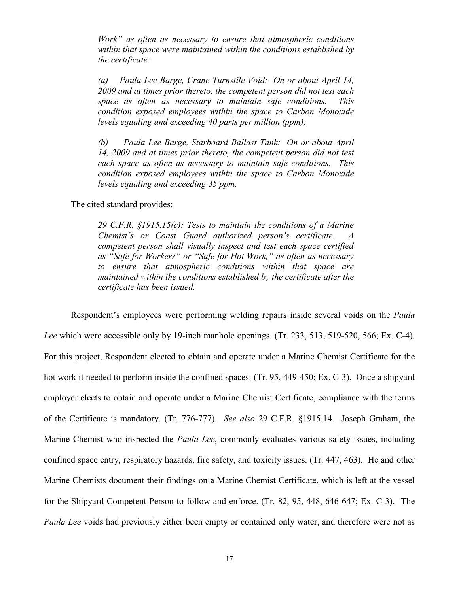*Work" as often as necessary to ensure that atmospheric conditions within that space were maintained within the conditions established by the certificate:*

*(a) Paula Lee Barge, Crane Turnstile Void: On or about April 14, 2009 and at times prior thereto, the competent person did not test each space as often as necessary to maintain safe conditions. This condition exposed employees within the space to Carbon Monoxide levels equaling and exceeding 40 parts per million (ppm);* 

*(b) Paula Lee Barge, Starboard Ballast Tank: On or about April 14, 2009 and at times prior thereto, the competent person did not test each space as often as necessary to maintain safe conditions. This condition exposed employees within the space to Carbon Monoxide levels equaling and exceeding 35 ppm.*

The cited standard provides:

*29 C.F.R. §1915.15(c): Tests to maintain the conditions of a Marine Chemist's or Coast Guard authorized person's certificate. A competent person shall visually inspect and test each space certified as "Safe for Workers" or "Safe for Hot Work," as often as necessary to ensure that atmospheric conditions within that space are maintained within the conditions established by the certificate after the certificate has been issued.*

Respondent's employees were performing welding repairs inside several voids on the *Paula Lee* which were accessible only by 19-inch manhole openings. (Tr. 233, 513, 519-520, 566; Ex. C-4). For this project, Respondent elected to obtain and operate under a Marine Chemist Certificate for the hot work it needed to perform inside the confined spaces. (Tr. 95, 449-450; Ex. C-3). Once a shipyard employer elects to obtain and operate under a Marine Chemist Certificate, compliance with the terms of the Certificate is mandatory. (Tr. 776-777). *See also* 29 C.F.R. §1915.14. Joseph Graham, the Marine Chemist who inspected the *Paula Lee*, commonly evaluates various safety issues, including confined space entry, respiratory hazards, fire safety, and toxicity issues. (Tr. 447, 463). He and other Marine Chemists document their findings on a Marine Chemist Certificate, which is left at the vessel for the Shipyard Competent Person to follow and enforce. (Tr. 82, 95, 448, 646-647; Ex. C-3). The *Paula Lee* voids had previously either been empty or contained only water, and therefore were not as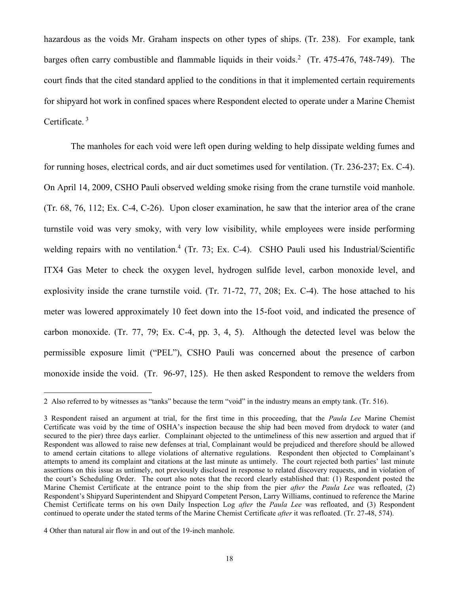hazardous as the voids Mr. Graham inspects on other types of ships. (Tr. 238). For example, tank barges often carry combustible and flammable liquids in their voids.<sup>2</sup> (Tr. 475-476, 748-749). The court finds that the cited standard applied to the conditions in that it implemented certain requirements for shipyard hot work in confined spaces where Respondent elected to operate under a Marine Chemist Certificate.<sup>3</sup>

The manholes for each void were left open during welding to help dissipate welding fumes and for running hoses, electrical cords, and air duct sometimes used for ventilation. (Tr. 236-237; Ex. C-4). On April 14, 2009, CSHO Pauli observed welding smoke rising from the crane turnstile void manhole. (Tr. 68, 76, 112; Ex. C-4, C-26). Upon closer examination, he saw that the interior area of the crane turnstile void was very smoky, with very low visibility, while employees were inside performing welding repairs with no ventilation.<sup>4</sup> (Tr. 73; Ex. C-4). CSHO Pauli used his Industrial/Scientific ITX4 Gas Meter to check the oxygen level, hydrogen sulfide level, carbon monoxide level, and explosivity inside the crane turnstile void. (Tr. 71-72, 77, 208; Ex. C-4). The hose attached to his meter was lowered approximately 10 feet down into the 15-foot void, and indicated the presence of carbon monoxide. (Tr. 77, 79; Ex. C-4, pp. 3, 4, 5). Although the detected level was below the permissible exposure limit ("PEL"), CSHO Pauli was concerned about the presence of carbon monoxide inside the void. (Tr. 96-97, 125). He then asked Respondent to remove the welders from

<sup>2</sup> Also referred to by witnesses as "tanks" because the term "void" in the industry means an empty tank. (Tr. 516).

<sup>3</sup> Respondent raised an argument at trial, for the first time in this proceeding, that the *Paula Lee* Marine Chemist Certificate was void by the time of OSHA's inspection because the ship had been moved from drydock to water (and secured to the pier) three days earlier. Complainant objected to the untimeliness of this new assertion and argued that if Respondent was allowed to raise new defenses at trial, Complainant would be prejudiced and therefore should be allowed to amend certain citations to allege violations of alternative regulations. Respondent then objected to Complainant's attempts to amend its complaint and citations at the last minute as untimely. The court rejected both parties' last minute assertions on this issue as untimely, not previously disclosed in response to related discovery requests, and in violation of the court's Scheduling Order. The court also notes that the record clearly established that: (1) Respondent posted the Marine Chemist Certificate at the entrance point to the ship from the pier *after* the *Paula Lee* was refloated, (2) Respondent's Shipyard Superintendent and Shipyard Competent Person, Larry Williams, continued to reference the Marine Chemist Certificate terms on his own Daily Inspection Log *after* the *Paula Lee* was refloated, and (3) Respondent continued to operate under the stated terms of the Marine Chemist Certificate *after* it was refloated. (Tr. 27-48, 574).

<sup>4</sup> Other than natural air flow in and out of the 19-inch manhole.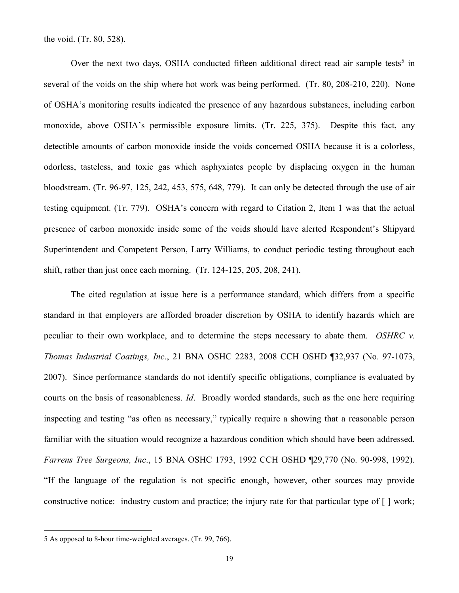the void. (Tr. 80, 528).

Over the next two days, OSHA conducted fifteen additional direct read air sample tests<sup>5</sup> in several of the voids on the ship where hot work was being performed. (Tr. 80, 208-210, 220). None of OSHA's monitoring results indicated the presence of any hazardous substances, including carbon monoxide, above OSHA's permissible exposure limits. (Tr. 225, 375). Despite this fact, any detectible amounts of carbon monoxide inside the voids concerned OSHA because it is a colorless, odorless, tasteless, and toxic gas which asphyxiates people by displacing oxygen in the human bloodstream. (Tr. 96-97, 125, 242, 453, 575, 648, 779). It can only be detected through the use of air testing equipment. (Tr. 779). OSHA's concern with regard to Citation 2, Item 1 was that the actual presence of carbon monoxide inside some of the voids should have alerted Respondent's Shipyard Superintendent and Competent Person, Larry Williams, to conduct periodic testing throughout each shift, rather than just once each morning. (Tr. 124-125, 205, 208, 241).

The cited regulation at issue here is a performance standard, which differs from a specific standard in that employers are afforded broader discretion by OSHA to identify hazards which are peculiar to their own workplace, and to determine the steps necessary to abate them. *OSHRC v. Thomas Industrial Coatings, Inc*., 21 BNA OSHC 2283, 2008 CCH OSHD ¶32,937 (No. 97-1073, 2007). Since performance standards do not identify specific obligations, compliance is evaluated by courts on the basis of reasonableness. *Id*. Broadly worded standards, such as the one here requiring inspecting and testing "as often as necessary," typically require a showing that a reasonable person familiar with the situation would recognize a hazardous condition which should have been addressed. *Farrens Tree Surgeons, Inc*., 15 BNA OSHC 1793, 1992 CCH OSHD ¶29,770 (No. 90-998, 1992). "If the language of the regulation is not specific enough, however, other sources may provide constructive notice: industry custom and practice; the injury rate for that particular type of [ ] work;

<sup>5</sup> As opposed to 8-hour time-weighted averages. (Tr. 99, 766).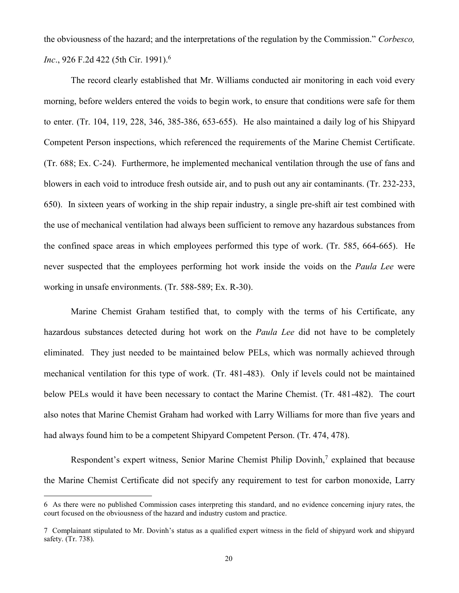the obviousness of the hazard; and the interpretations of the regulation by the Commission." *Corbesco, Inc.*, 926 F.2d 422 (5th Cir. 1991).<sup>6</sup>

The record clearly established that Mr. Williams conducted air monitoring in each void every morning, before welders entered the voids to begin work, to ensure that conditions were safe for them to enter. (Tr. 104, 119, 228, 346, 385-386, 653-655). He also maintained a daily log of his Shipyard Competent Person inspections, which referenced the requirements of the Marine Chemist Certificate. (Tr. 688; Ex. C-24). Furthermore, he implemented mechanical ventilation through the use of fans and blowers in each void to introduce fresh outside air, and to push out any air contaminants. (Tr. 232-233, 650). In sixteen years of working in the ship repair industry, a single pre-shift air test combined with the use of mechanical ventilation had always been sufficient to remove any hazardous substances from the confined space areas in which employees performed this type of work. (Tr. 585, 664-665). He never suspected that the employees performing hot work inside the voids on the *Paula Lee* were working in unsafe environments. (Tr. 588-589; Ex. R-30).

Marine Chemist Graham testified that, to comply with the terms of his Certificate, any hazardous substances detected during hot work on the *Paula Lee* did not have to be completely eliminated. They just needed to be maintained below PELs, which was normally achieved through mechanical ventilation for this type of work. (Tr. 481-483). Only if levels could not be maintained below PELs would it have been necessary to contact the Marine Chemist. (Tr. 481-482). The court also notes that Marine Chemist Graham had worked with Larry Williams for more than five years and had always found him to be a competent Shipyard Competent Person. (Tr. 474, 478).

Respondent's expert witness, Senior Marine Chemist Philip Dovinh,<sup>7</sup> explained that because the Marine Chemist Certificate did not specify any requirement to test for carbon monoxide, Larry

<sup>6</sup> As there were no published Commission cases interpreting this standard, and no evidence concerning injury rates, the court focused on the obviousness of the hazard and industry custom and practice.

<sup>7</sup> Complainant stipulated to Mr. Dovinh's status as a qualified expert witness in the field of shipyard work and shipyard safety. (Tr. 738).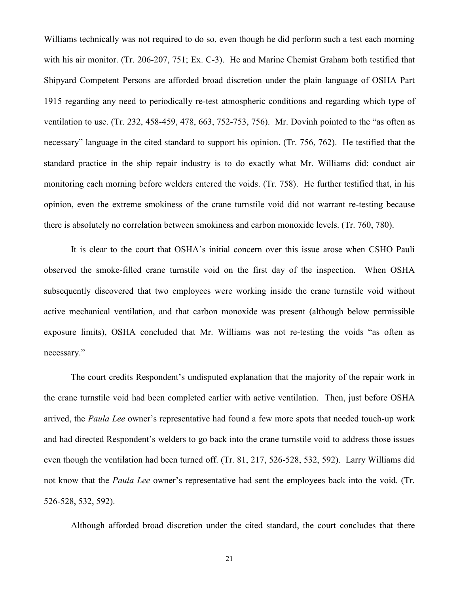Williams technically was not required to do so, even though he did perform such a test each morning with his air monitor. (Tr. 206-207, 751; Ex. C-3). He and Marine Chemist Graham both testified that Shipyard Competent Persons are afforded broad discretion under the plain language of OSHA Part 1915 regarding any need to periodically re-test atmospheric conditions and regarding which type of ventilation to use. (Tr. 232, 458-459, 478, 663, 752-753, 756). Mr. Dovinh pointed to the "as often as necessary" language in the cited standard to support his opinion. (Tr. 756, 762). He testified that the standard practice in the ship repair industry is to do exactly what Mr. Williams did: conduct air monitoring each morning before welders entered the voids. (Tr. 758). He further testified that, in his opinion, even the extreme smokiness of the crane turnstile void did not warrant re-testing because there is absolutely no correlation between smokiness and carbon monoxide levels. (Tr. 760, 780).

It is clear to the court that OSHA's initial concern over this issue arose when CSHO Pauli observed the smoke-filled crane turnstile void on the first day of the inspection. When OSHA subsequently discovered that two employees were working inside the crane turnstile void without active mechanical ventilation, and that carbon monoxide was present (although below permissible exposure limits), OSHA concluded that Mr. Williams was not re-testing the voids "as often as necessary."

The court credits Respondent's undisputed explanation that the majority of the repair work in the crane turnstile void had been completed earlier with active ventilation. Then, just before OSHA arrived, the *Paula Lee* owner's representative had found a few more spots that needed touch-up work and had directed Respondent's welders to go back into the crane turnstile void to address those issues even though the ventilation had been turned off. (Tr. 81, 217, 526-528, 532, 592). Larry Williams did not know that the *Paula Lee* owner's representative had sent the employees back into the void. (Tr. 526-528, 532, 592).

Although afforded broad discretion under the cited standard, the court concludes that there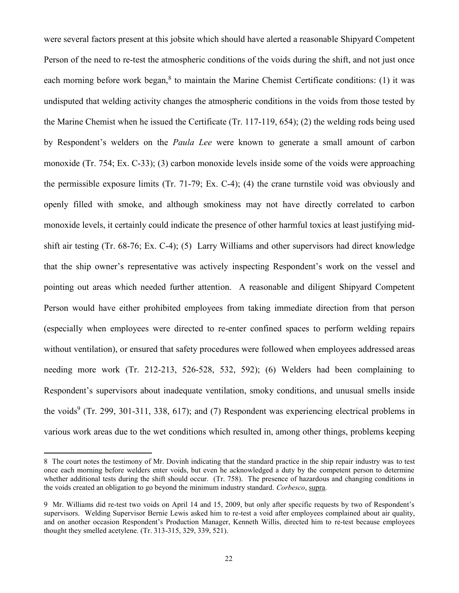were several factors present at this jobsite which should have alerted a reasonable Shipyard Competent Person of the need to re-test the atmospheric conditions of the voids during the shift, and not just once each morning before work began,<sup>8</sup> to maintain the Marine Chemist Certificate conditions: (1) it was undisputed that welding activity changes the atmospheric conditions in the voids from those tested by the Marine Chemist when he issued the Certificate (Tr. 117-119, 654); (2) the welding rods being used by Respondent's welders on the *Paula Lee* were known to generate a small amount of carbon monoxide (Tr. 754; Ex. C-33); (3) carbon monoxide levels inside some of the voids were approaching the permissible exposure limits (Tr. 71-79; Ex. C-4); (4) the crane turnstile void was obviously and openly filled with smoke, and although smokiness may not have directly correlated to carbon monoxide levels, it certainly could indicate the presence of other harmful toxics at least justifying midshift air testing (Tr. 68-76; Ex. C-4); (5) Larry Williams and other supervisors had direct knowledge that the ship owner's representative was actively inspecting Respondent's work on the vessel and pointing out areas which needed further attention. A reasonable and diligent Shipyard Competent Person would have either prohibited employees from taking immediate direction from that person (especially when employees were directed to re-enter confined spaces to perform welding repairs without ventilation), or ensured that safety procedures were followed when employees addressed areas needing more work (Tr. 212-213, 526-528, 532, 592); (6) Welders had been complaining to Respondent's supervisors about inadequate ventilation, smoky conditions, and unusual smells inside the voids<sup>9</sup> (Tr. 299, 301-311, 338, 617); and (7) Respondent was experiencing electrical problems in various work areas due to the wet conditions which resulted in, among other things, problems keeping

<sup>8</sup> The court notes the testimony of Mr. Dovinh indicating that the standard practice in the ship repair industry was to test once each morning before welders enter voids, but even he acknowledged a duty by the competent person to determine whether additional tests during the shift should occur. (Tr. 758). The presence of hazardous and changing conditions in the voids created an obligation to go beyond the minimum industry standard. *Corbesco*, supra.

<sup>9</sup> Mr. Williams did re-test two voids on April 14 and 15, 2009, but only after specific requests by two of Respondent's supervisors. Welding Supervisor Bernie Lewis asked him to re-test a void after employees complained about air quality, and on another occasion Respondent's Production Manager, Kenneth Willis, directed him to re-test because employees thought they smelled acetylene. (Tr. 313-315, 329, 339, 521).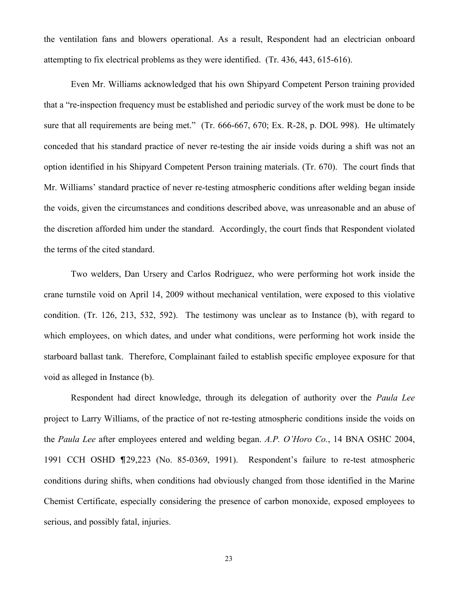the ventilation fans and blowers operational. As a result, Respondent had an electrician onboard attempting to fix electrical problems as they were identified. (Tr. 436, 443, 615-616).

Even Mr. Williams acknowledged that his own Shipyard Competent Person training provided that a "re-inspection frequency must be established and periodic survey of the work must be done to be sure that all requirements are being met." (Tr. 666-667, 670; Ex. R-28, p. DOL 998). He ultimately conceded that his standard practice of never re-testing the air inside voids during a shift was not an option identified in his Shipyard Competent Person training materials. (Tr. 670). The court finds that Mr. Williams' standard practice of never re-testing atmospheric conditions after welding began inside the voids, given the circumstances and conditions described above, was unreasonable and an abuse of the discretion afforded him under the standard. Accordingly, the court finds that Respondent violated the terms of the cited standard.

Two welders, Dan Ursery and Carlos Rodriguez, who were performing hot work inside the crane turnstile void on April 14, 2009 without mechanical ventilation, were exposed to this violative condition. (Tr. 126, 213, 532, 592). The testimony was unclear as to Instance (b), with regard to which employees, on which dates, and under what conditions, were performing hot work inside the starboard ballast tank. Therefore, Complainant failed to establish specific employee exposure for that void as alleged in Instance (b).

Respondent had direct knowledge, through its delegation of authority over the *Paula Lee* project to Larry Williams, of the practice of not re-testing atmospheric conditions inside the voids on the *Paula Lee* after employees entered and welding began. *A.P. O'Horo Co.*, 14 BNA OSHC 2004, 1991 CCH OSHD ¶29,223 (No. 85-0369, 1991). Respondent's failure to re-test atmospheric conditions during shifts, when conditions had obviously changed from those identified in the Marine Chemist Certificate, especially considering the presence of carbon monoxide, exposed employees to serious, and possibly fatal, injuries.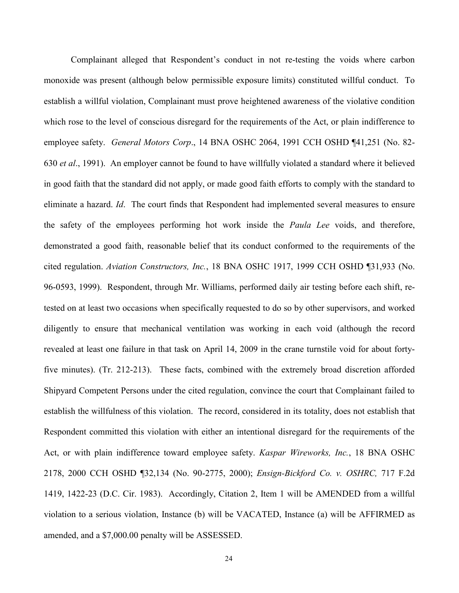Complainant alleged that Respondent's conduct in not re-testing the voids where carbon monoxide was present (although below permissible exposure limits) constituted willful conduct. To establish a willful violation, Complainant must prove heightened awareness of the violative condition which rose to the level of conscious disregard for the requirements of the Act, or plain indifference to employee safety. *General Motors Corp*., 14 BNA OSHC 2064, 1991 CCH OSHD ¶41,251 (No. 82- 630 *et al*., 1991). An employer cannot be found to have willfully violated a standard where it believed in good faith that the standard did not apply, or made good faith efforts to comply with the standard to eliminate a hazard. *Id*. The court finds that Respondent had implemented several measures to ensure the safety of the employees performing hot work inside the *Paula Lee* voids, and therefore, demonstrated a good faith, reasonable belief that its conduct conformed to the requirements of the cited regulation. *Aviation Constructors, Inc.*, 18 BNA OSHC 1917, 1999 CCH OSHD ¶31,933 (No. 96-0593, 1999). Respondent, through Mr. Williams, performed daily air testing before each shift, retested on at least two occasions when specifically requested to do so by other supervisors, and worked diligently to ensure that mechanical ventilation was working in each void (although the record revealed at least one failure in that task on April 14, 2009 in the crane turnstile void for about fortyfive minutes). (Tr. 212-213). These facts, combined with the extremely broad discretion afforded Shipyard Competent Persons under the cited regulation, convince the court that Complainant failed to establish the willfulness of this violation. The record, considered in its totality, does not establish that Respondent committed this violation with either an intentional disregard for the requirements of the Act, or with plain indifference toward employee safety. *Kaspar Wireworks, Inc.*, 18 BNA OSHC 2178, 2000 CCH OSHD ¶32,134 (No. 90-2775, 2000); *Ensign-Bickford Co. v. OSHRC,* 717 F.2d 1419, 1422-23 (D.C. Cir. 1983). Accordingly, Citation 2, Item 1 will be AMENDED from a willful violation to a serious violation, Instance (b) will be VACATED, Instance (a) will be AFFIRMED as amended, and a \$7,000.00 penalty will be ASSESSED.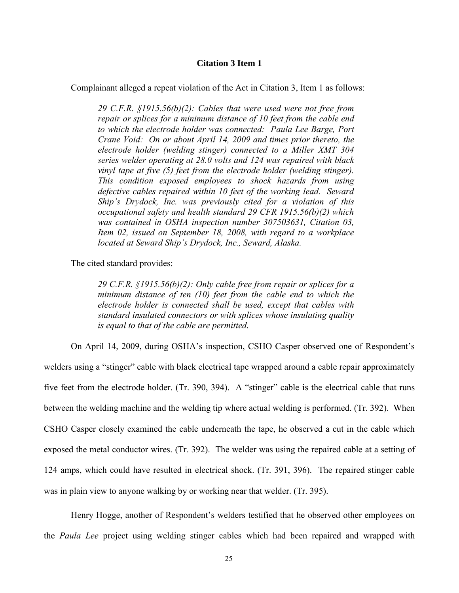### **Citation 3 Item 1**

Complainant alleged a repeat violation of the Act in Citation 3, Item 1 as follows:

*29 C.F.R. §1915.56(b)(2): Cables that were used were not free from repair or splices for a minimum distance of 10 feet from the cable end to which the electrode holder was connected: Paula Lee Barge, Port Crane Void: On or about April 14, 2009 and times prior thereto, the electrode holder (welding stinger) connected to a Miller XMT 304 series welder operating at 28.0 volts and 124 was repaired with black vinyl tape at five (5) feet from the electrode holder (welding stinger). This condition exposed employees to shock hazards from using defective cables repaired within 10 feet of the working lead. Seward Ship's Drydock, Inc. was previously cited for a violation of this occupational safety and health standard 29 CFR 1915.56(b)(2) which was contained in OSHA inspection number 307503631, Citation 03, Item 02, issued on September 18, 2008, with regard to a workplace located at Seward Ship's Drydock, Inc., Seward, Alaska.*

The cited standard provides:

*29 C.F.R. §1915.56(b)(2): Only cable free from repair or splices for a minimum distance of ten (10) feet from the cable end to which the electrode holder is connected shall be used, except that cables with standard insulated connectors or with splices whose insulating quality is equal to that of the cable are permitted.*

On April 14, 2009, during OSHA's inspection, CSHO Casper observed one of Respondent's welders using a "stinger" cable with black electrical tape wrapped around a cable repair approximately five feet from the electrode holder. (Tr. 390, 394). A "stinger" cable is the electrical cable that runs between the welding machine and the welding tip where actual welding is performed. (Tr. 392). When CSHO Casper closely examined the cable underneath the tape, he observed a cut in the cable which exposed the metal conductor wires. (Tr. 392). The welder was using the repaired cable at a setting of 124 amps, which could have resulted in electrical shock. (Tr. 391, 396). The repaired stinger cable was in plain view to anyone walking by or working near that welder. (Tr. 395).

Henry Hogge, another of Respondent's welders testified that he observed other employees on the *Paula Lee* project using welding stinger cables which had been repaired and wrapped with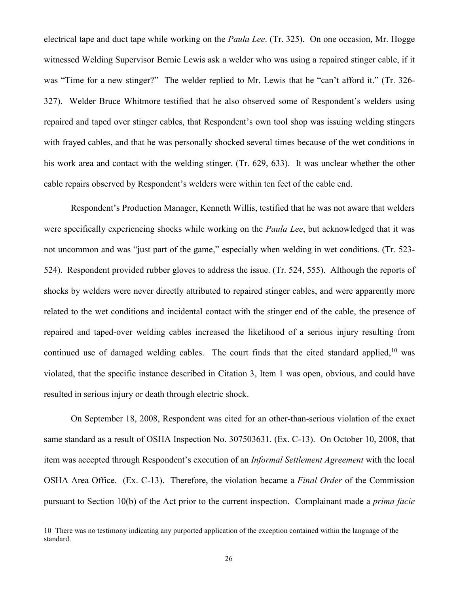electrical tape and duct tape while working on the *Paula Lee*. (Tr. 325). On one occasion, Mr. Hogge witnessed Welding Supervisor Bernie Lewis ask a welder who was using a repaired stinger cable, if it was "Time for a new stinger?" The welder replied to Mr. Lewis that he "can't afford it." (Tr. 326- 327). Welder Bruce Whitmore testified that he also observed some of Respondent's welders using repaired and taped over stinger cables, that Respondent's own tool shop was issuing welding stingers with frayed cables, and that he was personally shocked several times because of the wet conditions in his work area and contact with the welding stinger. (Tr. 629, 633). It was unclear whether the other cable repairs observed by Respondent's welders were within ten feet of the cable end.

Respondent's Production Manager, Kenneth Willis, testified that he was not aware that welders were specifically experiencing shocks while working on the *Paula Lee*, but acknowledged that it was not uncommon and was "just part of the game," especially when welding in wet conditions. (Tr. 523- 524). Respondent provided rubber gloves to address the issue. (Tr. 524, 555). Although the reports of shocks by welders were never directly attributed to repaired stinger cables, and were apparently more related to the wet conditions and incidental contact with the stinger end of the cable, the presence of repaired and taped-over welding cables increased the likelihood of a serious injury resulting from continued use of damaged welding cables. The court finds that the cited standard applied,  $10$  was violated, that the specific instance described in Citation 3, Item 1 was open, obvious, and could have resulted in serious injury or death through electric shock.

On September 18, 2008, Respondent was cited for an other-than-serious violation of the exact same standard as a result of OSHA Inspection No. 307503631. (Ex. C-13). On October 10, 2008, that item was accepted through Respondent's execution of an *Informal Settlement Agreement* with the local OSHA Area Office. (Ex. C-13). Therefore, the violation became a *Final Order* of the Commission pursuant to Section 10(b) of the Act prior to the current inspection. Complainant made a *prima facie*

<sup>10</sup> There was no testimony indicating any purported application of the exception contained within the language of the standard.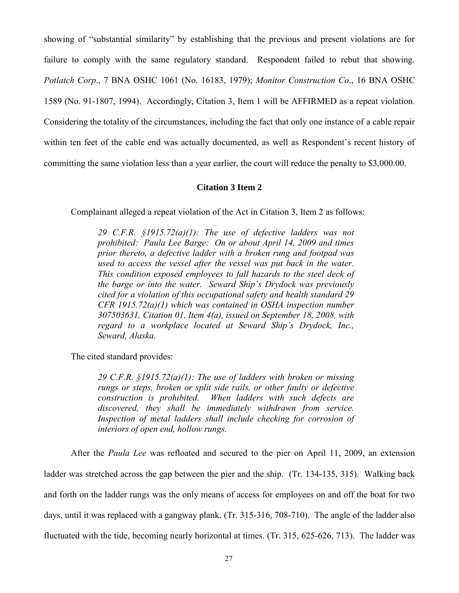showing of "substantial similarity" by establishing that the previous and present violations are for failure to comply with the same regulatory standard. Respondent failed to rebut that showing. *Potlatch Corp*., 7 BNA OSHC 1061 (No. 16183, 1979); *Monitor Construction Co*., 16 BNA OSHC 1589 (No. 91-1807, 1994). Accordingly, Citation 3, Item 1 will be AFFIRMED as a repeat violation. Considering the totality of the circumstances, including the fact that only one instance of a cable repair within ten feet of the cable end was actually documented, as well as Respondent's recent history of committing the same violation less than a year earlier, the court will reduce the penalty to \$3,000.00.

## **Citation 3 Item 2**

Complainant alleged a repeat violation of the Act in Citation 3, Item 2 as follows:

*29 C.F.R. §1915.72(a)(1): The use of defective ladders was not prohibited: Paula Lee Barge: On or about April 14, 2009 and times prior thereto, a defective ladder with a broken rung and footpad was used to access the vessel after the vessel was put back in the water. This condition exposed employees to fall hazards to the steel deck of the barge or into the water. Seward Ship's Drydock was previously cited for a violation of this occupational safety and health standard 29 CFR 1915.72(a)(1) which was contained in OSHA inspection number 307503631, Citation 01, Item 4(a), issued on September 18, 2008, with regard to a workplace located at Seward Ship's Drydock, Inc., Seward, Alaska.*

The cited standard provides:

*29 C.F.R. §1915.72(a)(1): The use of ladders with broken or missing rungs or steps, broken or split side rails, or other faulty or defective construction is prohibited. When ladders with such defects are discovered, they shall be immediately withdrawn from service.*  Inspection of metal ladders shall include checking for corrosion of *interiors of open end, hollow rungs.*

After the *Paula Lee* was refloated and secured to the pier on April 11, 2009, an extension ladder was stretched across the gap between the pier and the ship. (Tr. 134-135, 315). Walking back and forth on the ladder rungs was the only means of access for employees on and off the boat for two days, until it was replaced with a gangway plank. (Tr. 315-316, 708-710). The angle of the ladder also fluctuated with the tide, becoming nearly horizontal at times. (Tr. 315, 625-626, 713). The ladder was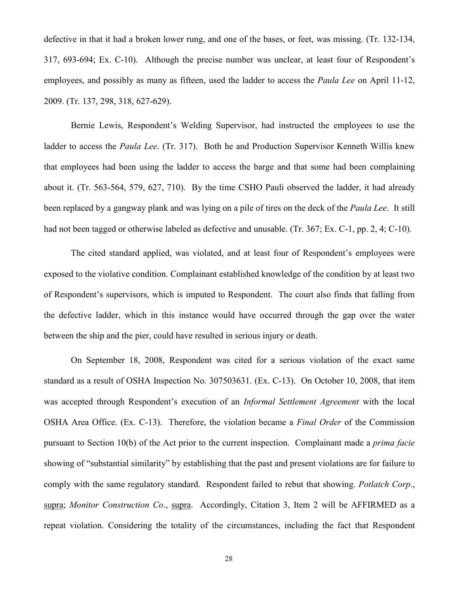defective in that it had a broken lower rung, and one of the bases, or feet, was missing. (Tr. 132-134, 317, 693-694; Ex. C-10). Although the precise number was unclear, at least four of Respondent's employees, and possibly as many as fifteen, used the ladder to access the *Paula Lee* on April 11-12, 2009. (Tr. 137, 298, 318, 627-629).

Bernie Lewis, Respondent's Welding Supervisor, had instructed the employees to use the ladder to access the *Paula Lee*. (Tr. 317). Both he and Production Supervisor Kenneth Willis knew that employees had been using the ladder to access the barge and that some had been complaining about it. (Tr. 563-564, 579, 627, 710). By the time CSHO Pauli observed the ladder, it had already been replaced by a gangway plank and was lying on a pile of tires on the deck of the *Paula Lee*. It still had not been tagged or otherwise labeled as defective and unusable. (Tr. 367; Ex. C-1, pp. 2, 4; C-10).

The cited standard applied, was violated, and at least four of Respondent's employees were exposed to the violative condition. Complainant established knowledge of the condition by at least two of Respondent's supervisors, which is imputed to Respondent. The court also finds that falling from the defective ladder, which in this instance would have occurred through the gap over the water between the ship and the pier, could have resulted in serious injury or death.

On September 18, 2008, Respondent was cited for a serious violation of the exact same standard as a result of OSHA Inspection No. 307503631. (Ex. C-13). On October 10, 2008, that item was accepted through Respondent's execution of an *Informal Settlement Agreement* with the local OSHA Area Office. (Ex. C-13). Therefore, the violation became a *Final Order* of the Commission pursuant to Section 10(b) of the Act prior to the current inspection. Complainant made a *prima facie* showing of "substantial similarity" by establishing that the past and present violations are for failure to comply with the same regulatory standard. Respondent failed to rebut that showing. *Potlatch Corp*., supra; *Monitor Construction Co*., supra. Accordingly, Citation 3, Item 2 will be AFFIRMED as a repeat violation. Considering the totality of the circumstances, including the fact that Respondent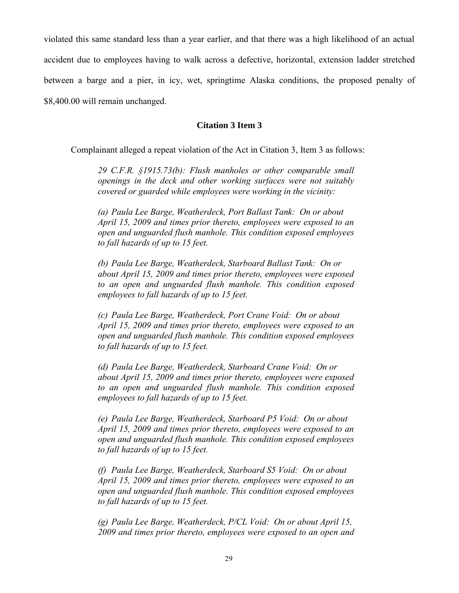violated this same standard less than a year earlier, and that there was a high likelihood of an actual accident due to employees having to walk across a defective, horizontal, extension ladder stretched between a barge and a pier, in icy, wet, springtime Alaska conditions, the proposed penalty of \$8,400.00 will remain unchanged.

## **Citation 3 Item 3**

Complainant alleged a repeat violation of the Act in Citation 3, Item 3 as follows:

*29 C.F.R. §1915.73(b): Flush manholes or other comparable small openings in the deck and other working surfaces were not suitably covered or guarded while employees were working in the vicinity:*

*(a) Paula Lee Barge, Weatherdeck, Port Ballast Tank: On or about April 15, 2009 and times prior thereto, employees were exposed to an open and unguarded flush manhole. This condition exposed employees to fall hazards of up to 15 feet.*

*(b) Paula Lee Barge, Weatherdeck, Starboard Ballast Tank: On or about April 15, 2009 and times prior thereto, employees were exposed to an open and unguarded flush manhole. This condition exposed employees to fall hazards of up to 15 feet.*

*(c) Paula Lee Barge, Weatherdeck, Port Crane Void: On or about April 15, 2009 and times prior thereto, employees were exposed to an open and unguarded flush manhole. This condition exposed employees to fall hazards of up to 15 feet.*

*(d) Paula Lee Barge, Weatherdeck, Starboard Crane Void: On or about April 15, 2009 and times prior thereto, employees were exposed to an open and unguarded flush manhole. This condition exposed employees to fall hazards of up to 15 feet.*

*(e) Paula Lee Barge, Weatherdeck, Starboard P5 Void: On or about April 15, 2009 and times prior thereto, employees were exposed to an open and unguarded flush manhole. This condition exposed employees to fall hazards of up to 15 feet.*

*(f) Paula Lee Barge, Weatherdeck, Starboard S5 Void: On or about April 15, 2009 and times prior thereto, employees were exposed to an open and unguarded flush manhole. This condition exposed employees to fall hazards of up to 15 feet.*

*(g) Paula Lee Barge, Weatherdeck, P/CL Void: On or about April 15, 2009 and times prior thereto, employees were exposed to an open and*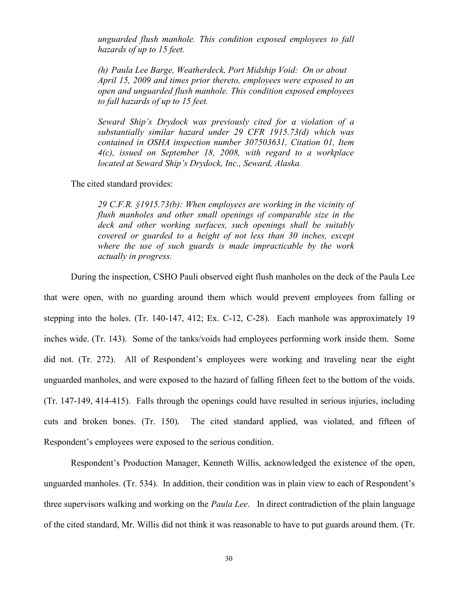*unguarded flush manhole. This condition exposed employees to fall hazards of up to 15 feet.*

*(h) Paula Lee Barge, Weatherdeck, Port Midship Void: On or about April 15, 2009 and times prior thereto, employees were exposed to an open and unguarded flush manhole. This condition exposed employees to fall hazards of up to 15 feet.*

*Seward Ship's Drydock was previously cited for a violation of a substantially similar hazard under 29 CFR 1915.73(d) which was contained in OSHA inspection number 307503631, Citation 01, Item 4(c), issued on September 18, 2008, with regard to a workplace located at Seward Ship's Drydock, Inc., Seward, Alaska.*

The cited standard provides:

*29 C.F.R. §1915.73(b): When employees are working in the vicinity of flush manholes and other small openings of comparable size in the deck and other working surfaces, such openings shall be suitably covered or guarded to a height of not less than 30 inches, except where the use of such guards is made impracticable by the work actually in progress.*

During the inspection, CSHO Pauli observed eight flush manholes on the deck of the Paula Lee

that were open, with no guarding around them which would prevent employees from falling or stepping into the holes. (Tr. 140-147, 412; Ex. C-12, C-28). Each manhole was approximately 19 inches wide. (Tr. 143). Some of the tanks/voids had employees performing work inside them. Some did not. (Tr. 272). All of Respondent's employees were working and traveling near the eight unguarded manholes, and were exposed to the hazard of falling fifteen feet to the bottom of the voids. (Tr. 147-149, 414-415). Falls through the openings could have resulted in serious injuries, including cuts and broken bones. (Tr. 150). The cited standard applied, was violated, and fifteen of Respondent's employees were exposed to the serious condition.

Respondent's Production Manager, Kenneth Willis, acknowledged the existence of the open, unguarded manholes. (Tr. 534). In addition, their condition was in plain view to each of Respondent's three supervisors walking and working on the *Paula Lee*. In direct contradiction of the plain language of the cited standard, Mr. Willis did not think it was reasonable to have to put guards around them. (Tr.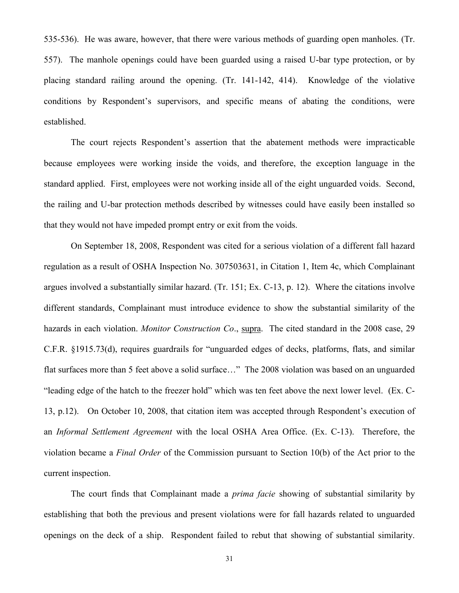535-536). He was aware, however, that there were various methods of guarding open manholes. (Tr. 557). The manhole openings could have been guarded using a raised U-bar type protection, or by placing standard railing around the opening. (Tr. 141-142, 414). Knowledge of the violative conditions by Respondent's supervisors, and specific means of abating the conditions, were established.

The court rejects Respondent's assertion that the abatement methods were impracticable because employees were working inside the voids, and therefore, the exception language in the standard applied. First, employees were not working inside all of the eight unguarded voids. Second, the railing and U-bar protection methods described by witnesses could have easily been installed so that they would not have impeded prompt entry or exit from the voids.

On September 18, 2008, Respondent was cited for a serious violation of a different fall hazard regulation as a result of OSHA Inspection No. 307503631, in Citation 1, Item 4c, which Complainant argues involved a substantially similar hazard. (Tr. 151; Ex. C-13, p. 12). Where the citations involve different standards, Complainant must introduce evidence to show the substantial similarity of the hazards in each violation. *Monitor Construction Co*., supra. The cited standard in the 2008 case, 29 C.F.R. §1915.73(d), requires guardrails for "unguarded edges of decks, platforms, flats, and similar flat surfaces more than 5 feet above a solid surface…" The 2008 violation was based on an unguarded "leading edge of the hatch to the freezer hold" which was ten feet above the next lower level. (Ex. C-13, p.12). On October 10, 2008, that citation item was accepted through Respondent's execution of an *Informal Settlement Agreement* with the local OSHA Area Office. (Ex. C-13). Therefore, the violation became a *Final Order* of the Commission pursuant to Section 10(b) of the Act prior to the current inspection.

The court finds that Complainant made a *prima facie* showing of substantial similarity by establishing that both the previous and present violations were for fall hazards related to unguarded openings on the deck of a ship. Respondent failed to rebut that showing of substantial similarity.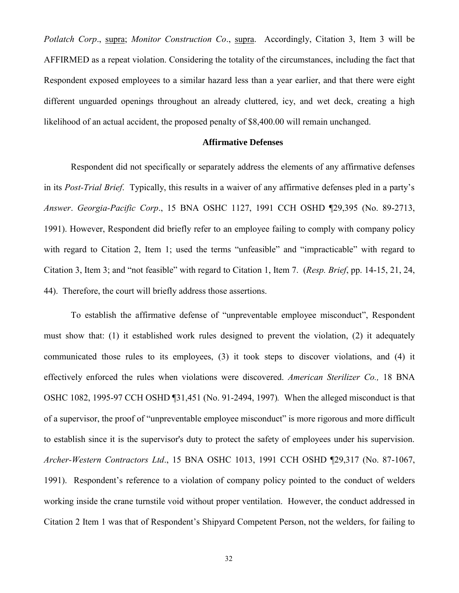*Potlatch Corp*., supra; *Monitor Construction Co*., supra. Accordingly, Citation 3, Item 3 will be AFFIRMED as a repeat violation. Considering the totality of the circumstances, including the fact that Respondent exposed employees to a similar hazard less than a year earlier, and that there were eight different unguarded openings throughout an already cluttered, icy, and wet deck, creating a high likelihood of an actual accident, the proposed penalty of \$8,400.00 will remain unchanged.

#### **Affirmative Defenses**

Respondent did not specifically or separately address the elements of any affirmative defenses in its *Post-Trial Brief*. Typically, this results in a waiver of any affirmative defenses pled in a party's *Answer*. *Georgia-Pacific Corp*., 15 BNA OSHC 1127, 1991 CCH OSHD ¶29,395 (No. 89-2713, 1991). However, Respondent did briefly refer to an employee failing to comply with company policy with regard to Citation 2, Item 1; used the terms "unfeasible" and "impracticable" with regard to Citation 3, Item 3; and "not feasible" with regard to Citation 1, Item 7. (*Resp. Brief*, pp. 14-15, 21, 24, 44). Therefore, the court will briefly address those assertions.

To establish the affirmative defense of "unpreventable employee misconduct", Respondent must show that: (1) it established work rules designed to prevent the violation, (2) it adequately communicated those rules to its employees, (3) it took steps to discover violations, and (4) it effectively enforced the rules when violations were discovered. *American Sterilizer Co.,* 18 BNA OSHC 1082, 1995-97 CCH OSHD ¶31,451 (No. 91-2494, 1997)*.* When the alleged misconduct is that of a supervisor, the proof of "unpreventable employee misconduct" is more rigorous and more difficult to establish since it is the supervisor's duty to protect the safety of employees under his supervision. *Archer-Western Contractors Ltd*., 15 BNA OSHC 1013, 1991 CCH OSHD ¶29,317 (No. 87-1067, 1991). Respondent's reference to a violation of company policy pointed to the conduct of welders working inside the crane turnstile void without proper ventilation. However, the conduct addressed in Citation 2 Item 1 was that of Respondent's Shipyard Competent Person, not the welders, for failing to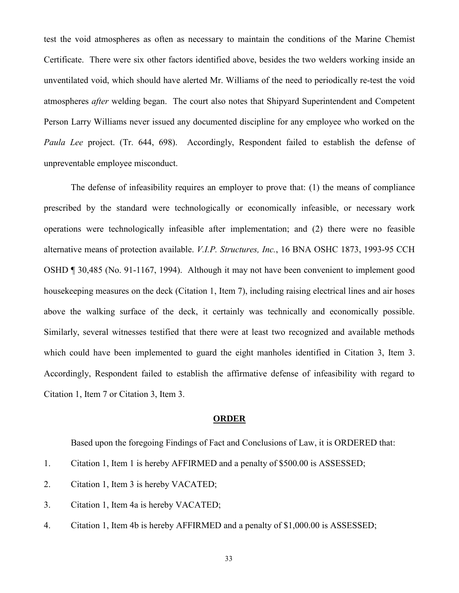test the void atmospheres as often as necessary to maintain the conditions of the Marine Chemist Certificate. There were six other factors identified above, besides the two welders working inside an unventilated void, which should have alerted Mr. Williams of the need to periodically re-test the void atmospheres *after* welding began. The court also notes that Shipyard Superintendent and Competent Person Larry Williams never issued any documented discipline for any employee who worked on the *Paula Lee* project. (Tr. 644, 698). Accordingly, Respondent failed to establish the defense of unpreventable employee misconduct.

The defense of infeasibility requires an employer to prove that: (1) the means of compliance prescribed by the standard were technologically or economically infeasible, or necessary work operations were technologically infeasible after implementation; and (2) there were no feasible alternative means of protection available. *V.I.P. Structures, Inc.*, 16 BNA OSHC 1873, 1993-95 CCH OSHD ¶ 30,485 (No. 91-1167, 1994). Although it may not have been convenient to implement good housekeeping measures on the deck (Citation 1, Item 7), including raising electrical lines and air hoses above the walking surface of the deck, it certainly was technically and economically possible. Similarly, several witnesses testified that there were at least two recognized and available methods which could have been implemented to guard the eight manholes identified in Citation 3, Item 3. Accordingly, Respondent failed to establish the affirmative defense of infeasibility with regard to Citation 1, Item 7 or Citation 3, Item 3.

#### **ORDER**

Based upon the foregoing Findings of Fact and Conclusions of Law, it is ORDERED that:

- 1. Citation 1, Item 1 is hereby AFFIRMED and a penalty of \$500.00 is ASSESSED;
- 2. Citation 1, Item 3 is hereby VACATED;
- 3. Citation 1, Item 4a is hereby VACATED;
- 4. Citation 1, Item 4b is hereby AFFIRMED and a penalty of \$1,000.00 is ASSESSED;

33